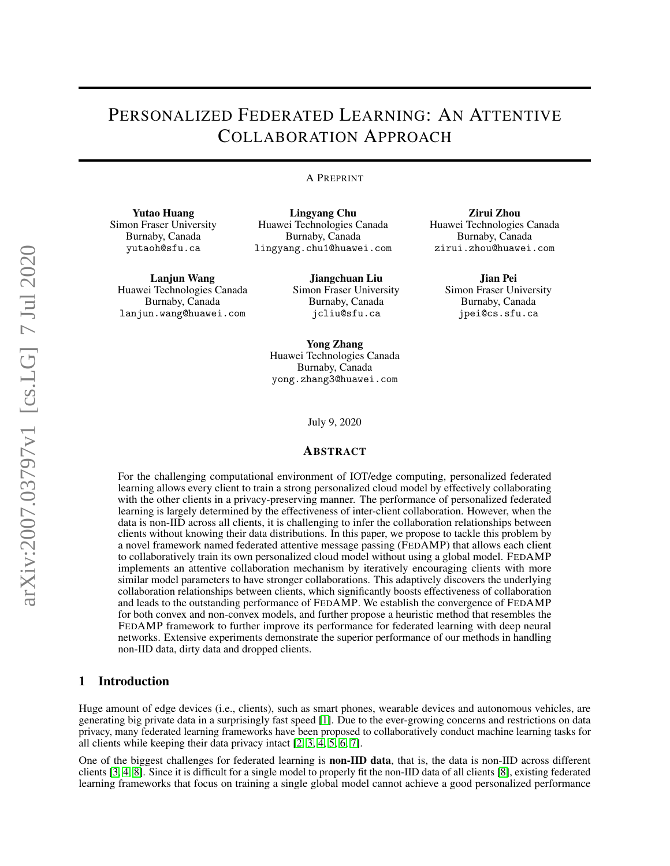# PERSONALIZED FEDERATED LEARNING: AN ATTENTIVE COLLABORATION APPROACH

#### A PREPRINT

Zirui Zhou Huawei Technologies Canada Burnaby, Canada zirui.zhou@huawei.com

> Jian Pei Simon Fraser University Burnaby, Canada jpei@cs.sfu.ca

Yutao Huang Simon Fraser University Burnaby, Canada yutaoh@sfu.ca

Lanjun Wang Huawei Technologies Canada Burnaby, Canada lanjun.wang@huawei.com

Lingyang Chu Huawei Technologies Canada Burnaby, Canada lingyang.chu1@huawei.com

> Jiangchuan Liu Simon Fraser University Burnaby, Canada jcliu@sfu.ca

Yong Zhang Huawei Technologies Canada Burnaby, Canada

July 9, 2020

yong.zhang3@huawei.com

#### ABSTRACT

For the challenging computational environment of IOT/edge computing, personalized federated learning allows every client to train a strong personalized cloud model by effectively collaborating with the other clients in a privacy-preserving manner. The performance of personalized federated learning is largely determined by the effectiveness of inter-client collaboration. However, when the data is non-IID across all clients, it is challenging to infer the collaboration relationships between clients without knowing their data distributions. In this paper, we propose to tackle this problem by a novel framework named federated attentive message passing (FEDAMP) that allows each client to collaboratively train its own personalized cloud model without using a global model. FEDAMP implements an attentive collaboration mechanism by iteratively encouraging clients with more similar model parameters to have stronger collaborations. This adaptively discovers the underlying collaboration relationships between clients, which significantly boosts effectiveness of collaboration and leads to the outstanding performance of FEDAMP. We establish the convergence of FEDAMP for both convex and non-convex models, and further propose a heuristic method that resembles the FEDAMP framework to further improve its performance for federated learning with deep neural networks. Extensive experiments demonstrate the superior performance of our methods in handling non-IID data, dirty data and dropped clients.

## 1 Introduction

Huge amount of edge devices (i.e., clients), such as smart phones, wearable devices and autonomous vehicles, are generating big private data in a surprisingly fast speed [\[1\]](#page-7-0). Due to the ever-growing concerns and restrictions on data privacy, many federated learning frameworks have been proposed to collaboratively conduct machine learning tasks for all clients while keeping their data privacy intact [\[2,](#page-7-1) [3,](#page-8-0) [4,](#page-8-1) [5,](#page-8-2) [6,](#page-8-3) [7\]](#page-8-4).

One of the biggest challenges for federated learning is non-IID data, that is, the data is non-IID across different clients [\[3,](#page-8-0) [4,](#page-8-1) [8\]](#page-8-5). Since it is difficult for a single model to properly fit the non-IID data of all clients [\[8\]](#page-8-5), existing federated learning frameworks that focus on training a single global model cannot achieve a good personalized performance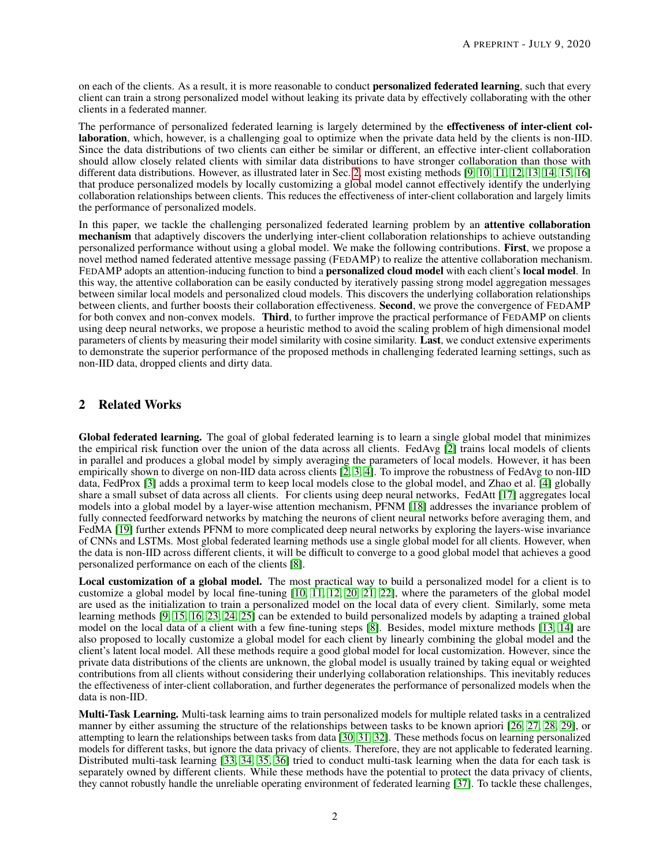on each of the clients. As a result, it is more reasonable to conduct **personalized federated learning**, such that every client can train a strong personalized model without leaking its private data by effectively collaborating with the other clients in a federated manner.

The performance of personalized federated learning is largely determined by the effectiveness of inter-client collaboration, which, however, is a challenging goal to optimize when the private data held by the clients is non-IID. Since the data distributions of two clients can either be similar or different, an effective inter-client collaboration should allow closely related clients with similar data distributions to have stronger collaboration than those with different data distributions. However, as illustrated later in Sec. [2,](#page-1-0) most existing methods [\[9,](#page-8-6) [10,](#page-8-7) [11,](#page-8-8) [12,](#page-8-9) [13,](#page-8-10) [14,](#page-8-11) [15,](#page-8-12) [16\]](#page-8-13) that produce personalized models by locally customizing a global model cannot effectively identify the underlying collaboration relationships between clients. This reduces the effectiveness of inter-client collaboration and largely limits the performance of personalized models.

In this paper, we tackle the challenging personalized federated learning problem by an attentive collaboration mechanism that adaptively discovers the underlying inter-client collaboration relationships to achieve outstanding personalized performance without using a global model. We make the following contributions. First, we propose a novel method named federated attentive message passing (FEDAMP) to realize the attentive collaboration mechanism. FEDAMP adopts an attention-inducing function to bind a **personalized cloud model** with each client's **local model**. In this way, the attentive collaboration can be easily conducted by iteratively passing strong model aggregation messages between similar local models and personalized cloud models. This discovers the underlying collaboration relationships between clients, and further boosts their collaboration effectiveness. Second, we prove the convergence of FEDAMP for both convex and non-convex models. **Third**, to further improve the practical performance of FEDAMP on clients using deep neural networks, we propose a heuristic method to avoid the scaling problem of high dimensional model parameters of clients by measuring their model similarity with cosine similarity. Last, we conduct extensive experiments to demonstrate the superior performance of the proposed methods in challenging federated learning settings, such as non-IID data, dropped clients and dirty data.

# <span id="page-1-0"></span>2 Related Works

Global federated learning. The goal of global federated learning is to learn a single global model that minimizes the empirical risk function over the union of the data across all clients. FedAvg [\[2\]](#page-7-1) trains local models of clients in parallel and produces a global model by simply averaging the parameters of local models. However, it has been empirically shown to diverge on non-IID data across clients [\[2,](#page-7-1) [3,](#page-8-0) [4\]](#page-8-1). To improve the robustness of FedAvg to non-IID data, FedProx [\[3\]](#page-8-0) adds a proximal term to keep local models close to the global model, and Zhao et al. [\[4\]](#page-8-1) globally share a small subset of data across all clients. For clients using deep neural networks, FedAtt [\[17\]](#page-8-14) aggregates local models into a global model by a layer-wise attention mechanism, PFNM [\[18\]](#page-8-15) addresses the invariance problem of fully connected feedforward networks by matching the neurons of client neural networks before averaging them, and FedMA [\[19\]](#page-8-16) further extends PFNM to more complicated deep neural networks by exploring the layers-wise invariance of CNNs and LSTMs. Most global federated learning methods use a single global model for all clients. However, when the data is non-IID across different clients, it will be difficult to converge to a good global model that achieves a good personalized performance on each of the clients [\[8\]](#page-8-5).

Local customization of a global model. The most practical way to build a personalized model for a client is to customize a global model by local fine-tuning [\[10,](#page-8-7) [11,](#page-8-8) [12,](#page-8-9) [20,](#page-8-17) [21,](#page-8-18) [22\]](#page-8-19), where the parameters of the global model are used as the initialization to train a personalized model on the local data of every client. Similarly, some meta learning methods [\[9,](#page-8-6) [15,](#page-8-12) [16,](#page-8-13) [23,](#page-8-20) [24,](#page-8-21) [25\]](#page-8-22) can be extended to build personalized models by adapting a trained global model on the local data of a client with a few fine-tuning steps [\[8\]](#page-8-5). Besides, model mixture methods [\[13,](#page-8-10) [14\]](#page-8-11) are also proposed to locally customize a global model for each client by linearly combining the global model and the client's latent local model. All these methods require a good global model for local customization. However, since the private data distributions of the clients are unknown, the global model is usually trained by taking equal or weighted contributions from all clients without considering their underlying collaboration relationships. This inevitably reduces the effectiveness of inter-client collaboration, and further degenerates the performance of personalized models when the data is non-IID.

Multi-Task Learning. Multi-task learning aims to train personalized models for multiple related tasks in a centralized manner by either assuming the structure of the relationships between tasks to be known apriori [\[26,](#page-9-0) [27,](#page-9-1) [28,](#page-9-2) [29\]](#page-9-3), or attempting to learn the relationships between tasks from data [\[30,](#page-9-4) [31,](#page-9-5) [32\]](#page-9-6). These methods focus on learning personalized models for different tasks, but ignore the data privacy of clients. Therefore, they are not applicable to federated learning. Distributed multi-task learning [\[33,](#page-9-7) [34,](#page-9-8) [35,](#page-9-9) [36\]](#page-9-10) tried to conduct multi-task learning when the data for each task is separately owned by different clients. While these methods have the potential to protect the data privacy of clients, they cannot robustly handle the unreliable operating environment of federated learning [\[37\]](#page-9-11). To tackle these challenges,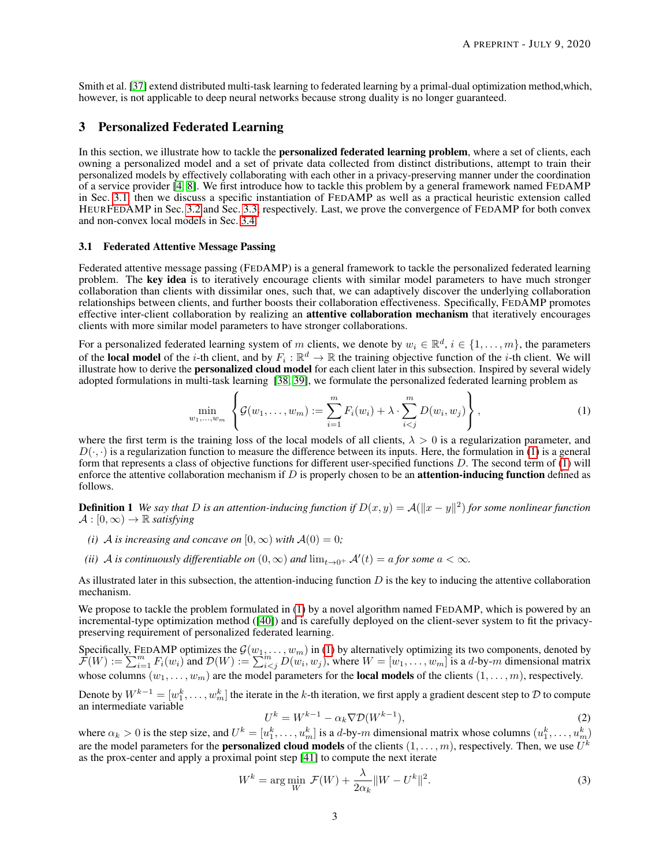Smith et al. [\[37\]](#page-9-11) extend distributed multi-task learning to federated learning by a primal-dual optimization method,which, however, is not applicable to deep neural networks because strong duality is no longer guaranteed.

# 3 Personalized Federated Learning

In this section, we illustrate how to tackle the **personalized federated learning problem**, where a set of clients, each owning a personalized model and a set of private data collected from distinct distributions, attempt to train their personalized models by effectively collaborating with each other in a privacy-preserving manner under the coordination of a service provider [\[4,](#page-8-1) [8\]](#page-8-5). We first introduce how to tackle this problem by a general framework named FEDAMP in Sec. [3.1,](#page-2-0) then we discuss a specific instantiation of FEDAMP as well as a practical heuristic extension called HEURFEDAMP in Sec. [3.2](#page-4-0) and Sec. [3.3,](#page-5-0) respectively. Last, we prove the convergence of FEDAMP for both convex and non-convex local models in Sec. [3.4.](#page-5-1)

#### <span id="page-2-0"></span>3.1 Federated Attentive Message Passing

Federated attentive message passing (FEDAMP) is a general framework to tackle the personalized federated learning problem. The key idea is to iteratively encourage clients with similar model parameters to have much stronger collaboration than clients with dissimilar ones, such that, we can adaptively discover the underlying collaboration relationships between clients, and further boosts their collaboration effectiveness. Specifically, FEDAMP promotes effective inter-client collaboration by realizing an **attentive collaboration mechanism** that iteratively encourages clients with more similar model parameters to have stronger collaborations.

For a personalized federated learning system of m clients, we denote by  $w_i \in \mathbb{R}^d$ ,  $i \in \{1, ..., m\}$ , the parameters of the local model of the *i*-th client, and by  $F_i : \mathbb{R}^d \to \mathbb{R}$  the training objective function of the *i*-th client. We will illustrate how to derive the personalized cloud model for each client later in this subsection. Inspired by several widely adopted formulations in multi-task learning [\[38,](#page-9-12) [39\]](#page-9-13), we formulate the personalized federated learning problem as

<span id="page-2-1"></span>
$$
\min_{w_1,...,w_m} \left\{ \mathcal{G}(w_1,...,w_m) := \sum_{i=1}^m F_i(w_i) + \lambda \cdot \sum_{i < j}^m D(w_i, w_j) \right\},\tag{1}
$$

where the first term is the training loss of the local models of all clients,  $\lambda > 0$  is a regularization parameter, and  $D(\cdot, \cdot)$  is a regularization function to measure the difference between its inputs. Here, the formulation in [\(1\)](#page-2-1) is a general form that represents a class of objective functions for different user-specified functions  $D$ . The second term of  $(1)$  will enforce the attentive collaboration mechanism if  $D$  is properly chosen to be an **attention-inducing function** defined as follows.

<span id="page-2-3"></span>**Definition 1** We say that D is an attention-inducing function if  $D(x, y) = A(||x - y||^2)$  for some nonlinear function  $\mathcal{A} : [0, \infty) \to \mathbb{R}$  *satisfying* 

- *(i)* A *is increasing and concave on*  $[0, \infty)$  *with*  $A(0) = 0$ ;
- *(ii)* A *is continuously differentiable on*  $(0, \infty)$  *and*  $\lim_{t\to 0^+} A'(t) = a$  *for some*  $a < \infty$ *.*

As illustrated later in this subsection, the attention-inducing function  $D$  is the key to inducing the attentive collaboration mechanism.

We propose to tackle the problem formulated in [\(1\)](#page-2-1) by a novel algorithm named FEDAMP, which is powered by an incremental-type optimization method ([\[40\]](#page-9-14)) and is carefully deployed on the client-sever system to fit the privacypreserving requirement of personalized federated learning.

Specifically, FEDAMP optimizes the  $\mathcal{G}(w_1, \ldots, w_m)$  in [\(1\)](#page-2-1) by alternatively optimizing its two components, denoted by  $\mathcal{F}(W) := \sum_{i=1}^m F_i(w_i)$  and  $\mathcal{D}(W) := \sum_{i \leq j}^m D(w_i, w_j)$ , where  $W = [w_1, \dots, w_m]$  is a d-by-m dimensional matrix whose columns  $(w_1, \ldots, w_m)$  are the model parameters for the **local models** of the clients  $(1, \ldots, m)$ , respectively.

Denote by  $W^{k-1} = [w_1^k, \dots, w_m^k]$  the iterate in the k-th iteration, we first apply a gradient descent step to  $D$  to compute an intermediate variable

<span id="page-2-4"></span><span id="page-2-2"></span>
$$
U^k = W^{k-1} - \alpha_k \nabla \mathcal{D}(W^{k-1}),\tag{2}
$$

where  $\alpha_k > 0$  is the step size, and  $U^k = [u_1^k, \dots, u_m^k]$  is a d-by-m dimensional matrix whose columns  $(u_1^k, \dots, u_m^k)$ are the model parameters for the **personalized cloud models** of the clients  $(1, \ldots, m)$ , respectively. Then, we use  $U^k$ as the prox-center and apply a proximal point step [\[41\]](#page-9-15) to compute the next iterate

$$
W^{k} = \underset{W}{\text{arg min}} \ \mathcal{F}(W) + \frac{\lambda}{2\alpha_{k}} \|W - U^{k}\|^{2}.
$$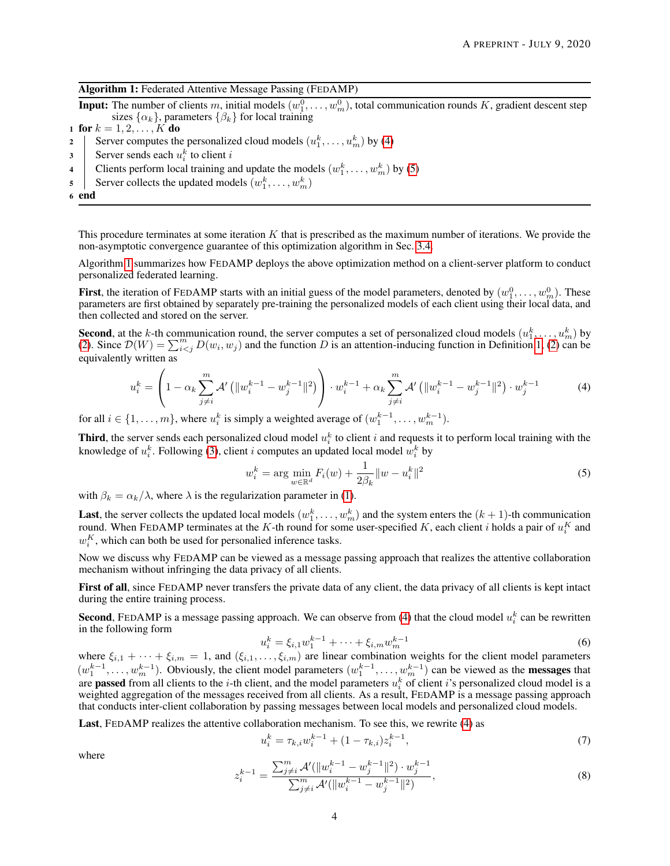| Algorithm 1: Federated Attentive Message Passing (FEDAMP) |  |  |  |
|-----------------------------------------------------------|--|--|--|
|                                                           |  |  |  |

**Input:** The number of clients m, initial models  $(w_1^0, \ldots, w_m^0)$ , total communication rounds K, gradient descent step sizes  $\{\alpha_k\}$ , parameters  $\{\beta_k\}$  for local training

1 for  $k = 1, 2, ..., K$  do

- 2 Server computes the personalized cloud models  $(u_1^k, \ldots, u_m^k)$  by [\(4\)](#page-3-0)
- 3 Server sends each  $u_i^k$  to client i
- 4 Clients perform local training and update the models  $(w_1^k, \ldots, w_m^k)$  by [\(5\)](#page-3-1)
- 5 Server collects the updated models  $(w_1^k, \ldots, w_m^k)$
- <span id="page-3-2"></span>6 end

This procedure terminates at some iteration  $K$  that is prescribed as the maximum number of iterations. We provide the non-asymptotic convergence guarantee of this optimization algorithm in Sec. [3.4.](#page-5-1)

Algorithm [1](#page-3-2) summarizes how FEDAMP deploys the above optimization method on a client-server platform to conduct personalized federated learning.

**First**, the iteration of FEDAMP starts with an initial guess of the model parameters, denoted by  $(w_1^0, \ldots, w_m^0)$ . These parameters are first obtained by separately pre-training the personalized models of each client using their local data, and then collected and stored on the server.

**Second**, at the k-th communication round, the server computes a set of personalized cloud models  $(u_1^k, \dots, u_m^k)$  by [\(2\)](#page-2-2). Since  $\mathcal{D}(W) = \sum_{i < j}^m D(w_i, w_j)$  and the function D is an attention-inducing function in Definiti equivalently written as

<span id="page-3-0"></span>
$$
u_i^k = \left(1 - \alpha_k \sum_{j \neq i}^m \mathcal{A}'\left(\|w_i^{k-1} - w_j^{k-1}\|^2\right)\right) \cdot w_i^{k-1} + \alpha_k \sum_{j \neq i}^m \mathcal{A}'\left(\|w_i^{k-1} - w_j^{k-1}\|^2\right) \cdot w_j^{k-1}
$$
(4)

for all  $i \in \{1, \ldots, m\}$ , where  $u_i^k$  is simply a weighted average of  $(w_1^{k-1}, \ldots, w_m^{k-1})$ .

**Third**, the server sends each personalized cloud model  $u_i^k$  to client i and requests it to perform local training with the knowledge of  $u_i^k$ . Following [\(3\)](#page-2-4), client i computes an updated local model  $w_i^k$  by

<span id="page-3-1"></span>
$$
w_i^k = \arg\min_{w \in \mathbb{R}^d} F_i(w) + \frac{1}{2\beta_k} \|w - u_i^k\|^2
$$
\n(5)

with  $\beta_k = \alpha_k/\lambda$ , where  $\lambda$  is the regularization parameter in [\(1\)](#page-2-1).

**Last**, the server collects the updated local models  $(w_1^k, \ldots, w_m^k)$  and the system enters the  $(k+1)$ -th communication round. When FEDAMP terminates at the K-th round for some user-specified K, each client i holds a pair of  $u_i^K$  and  $w_i^K$ , which can both be used for personalied inference tasks.

Now we discuss why FEDAMP can be viewed as a message passing approach that realizes the attentive collaboration mechanism without infringing the data privacy of all clients.

First of all, since FEDAMP never transfers the private data of any client, the data privacy of all clients is kept intact during the entire training process.

**Second**, FEDAMP is a message passing approach. We can observe from [\(4\)](#page-3-0) that the cloud model  $u_i^k$  can be rewritten in the following form

<span id="page-3-5"></span>
$$
u_i^k = \xi_{i,1} w_1^{k-1} + \dots + \xi_{i,m} w_m^{k-1}
$$
 (6)

where  $\xi_{i,1} + \cdots + \xi_{i,m} = 1$ , and  $(\xi_{i,1},\ldots,\xi_{i,m})$  are linear combination weights for the client model parameters  $(w_1^{k-1}, \ldots, w_m^{k-1})$ . Obviously, the client model parameters  $(w_1^{k-1}, \ldots, w_m^{k-1})$  can be viewed as the **messages** that are **passed** from all clients to the *i*-th client, and the model parameters  $u_i^k$  of client *i*'s personalized cloud model is a weighted aggregation of the messages received from all clients. As a result, FEDAMP is a message passing approach that conducts inter-client collaboration by passing messages between local models and personalized cloud models.

Last, FEDAMP realizes the attentive collaboration mechanism. To see this, we rewrite [\(4\)](#page-3-0) as

<span id="page-3-4"></span>
$$
u_i^k = \tau_{k,i} w_i^{k-1} + (1 - \tau_{k,i}) z_i^{k-1}, \tag{7}
$$

<span id="page-3-3"></span>where

$$
z_i^{k-1} = \frac{\sum_{j \neq i}^m \mathcal{A}'(\|w_i^{k-1} - w_j^{k-1}\|^2) \cdot w_j^{k-1}}{\sum_{j \neq i}^m \mathcal{A}'(\|w_i^{k-1} - w_j^{k-1}\|^2)},\tag{8}
$$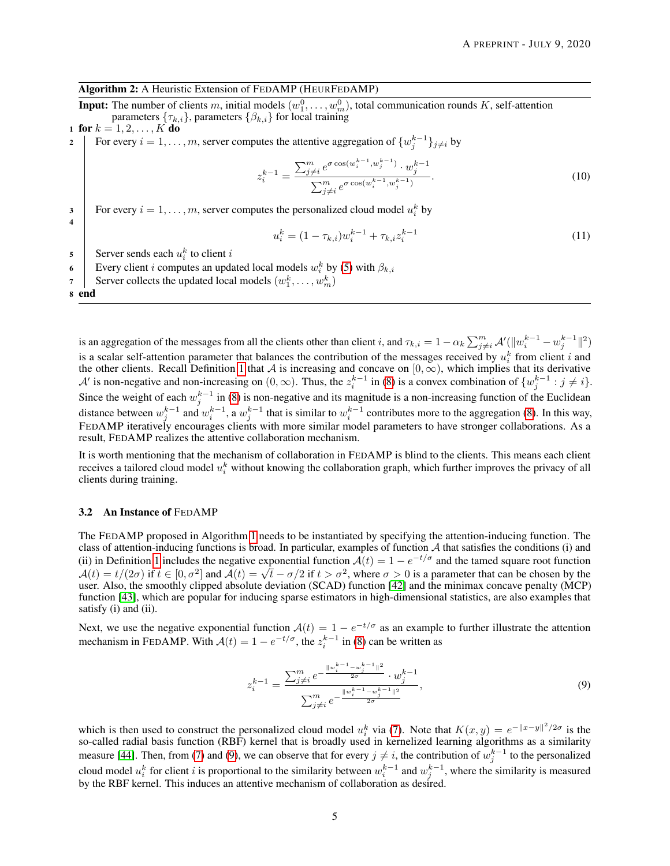# Algorithm 2: A Heuristic Extension of FEDAMP (HEURFEDAMP)

**Input:** The number of clients m, initial models  $(w_1^0, \ldots, w_m^0)$ , total communication rounds K, self-attention parameters  $\{\tau_{k,i}\}$ , parameters  $\{\beta_{k,i}\}$  for local training

1 for  $k = 1, 2, ..., K$  do 2 For every  $i = 1, \ldots, m$ , server computes the attentive aggregation of  $\{w_j^{k-1}\}_{j \neq i}$  by

<span id="page-4-3"></span>
$$
z_i^{k-1} = \frac{\sum_{j \neq i}^m e^{\sigma \cos(w_i^{k-1}, w_j^{k-1})} \cdot w_j^{k-1}}{\sum_{j \neq i}^m e^{\sigma \cos(w_i^{k-1}, w_j^{k-1})}}.
$$
\n(10)

3 For every  $i = 1, \ldots, m$ , server computes the personalized cloud model  $u_i^k$  by

$$
u_i^k = (1 - \tau_{k,i})w_i^{k-1} + \tau_{k,i}z_i^{k-1}
$$
\n(11)

5 Server sends each  $u_i^k$  to client i

6 Every client *i* computes an updated local models  $w_i^k$  by [\(5\)](#page-3-1) with  $\beta_{k,i}$ 

7 Server collects the updated local models  $(w_1^k, \dots, w_m^k)$ 

<span id="page-4-2"></span>8 end

4

is an aggregation of the messages from all the clients other than client i, and  $\tau_{k,i} = 1 - \alpha_k \sum_{j \neq i}^m \mathcal{A}'(\Vert w_i^{k-1} - w_j^{k-1} \Vert^2)$ is a scalar self-attention parameter that balances the contribution of the messages received by  $u_i^k$  from client i and the other clients. Recall Definition [1](#page-2-3) that A is increasing and concave on  $[0, \infty)$ , which implies that its derivative A' is non-negative and non-increasing on  $(0, \infty)$ . Thus, the  $z_i^{k-1}$  in [\(8\)](#page-3-3) is a convex combination of  $\{w_j^{k-1} : j \neq i\}$ . Since the weight of each  $w_j^{k-1}$  in [\(8\)](#page-3-3) is non-negative and its magnitude is a non-increasing function of the Euclidean distance between  $w_j^{k-1}$  and  $w_i^{k-1}$ , a  $w_j^{k-1}$  that is similar to  $w_i^{k-1}$  contributes more to the aggregation [\(8\)](#page-3-3). In this way, FEDAMP iteratively encourages clients with more similar model parameters to have stronger collaborations. As a result, FEDAMP realizes the attentive collaboration mechanism.

It is worth mentioning that the mechanism of collaboration in FEDAMP is blind to the clients. This means each client receives a tailored cloud model  $u_i^k$  without knowing the collaboration graph, which further improves the privacy of all clients during training.

#### <span id="page-4-0"></span>3.2 An Instance of FEDAMP

The FEDAMP proposed in Algorithm [1](#page-3-2) needs to be instantiated by specifying the attention-inducing function. The class of attention-inducing functions is broad. In particular, examples of function  $A$  that satisfies the conditions (i) and (ii) in Definition [1](#page-2-3) includes the negative exponential function  $A(t) = 1 - e^{-t/\sigma}$  and the tamed square root function (i) in Definition 1 includes the negative exponential function  $A(t) = 1 - e^{-t/2}$  and the tamed square froot function  $A(t) = t/(2\sigma)$  if  $t \in [0, \sigma^2]$  and  $A(t) = \sqrt{t} - \sigma/2$  if  $t > \sigma^2$ , where  $\sigma > 0$  is a parameter that can be c user. Also, the smoothly clipped absolute deviation (SCAD) function [\[42\]](#page-9-16) and the minimax concave penalty (MCP) function [\[43\]](#page-9-17), which are popular for inducing sparse estimators in high-dimensional statistics, are also examples that satisfy (i) and (ii).

Next, we use the negative exponential function  $A(t) = 1 - e^{-t/\sigma}$  as an example to further illustrate the attention mechanism in FEDAMP. With  $A(t) = 1 - e^{-t/\sigma}$ , the  $z_i^{k-1}$  in [\(8\)](#page-3-3) can be written as

<span id="page-4-1"></span>
$$
z_i^{k-1} = \frac{\sum_{j \neq i}^m e^{-\frac{\|w_i^{k-1} - w_j^{k-1}\|^2}{2\sigma}} \cdot w_j^{k-1}}{\sum_{j \neq i}^m e^{-\frac{\|w_i^{k-1} - w_j^{k-1}\|^2}{2\sigma}}},\tag{9}
$$

which is then used to construct the personalized cloud model  $u_i^k$  via [\(7\)](#page-3-4). Note that  $K(x, y) = e^{-||x-y||^2/2\sigma}$  is the so-called radial basis function (RBF) kernel that is broadly used in kernelized learning algorithms as a similarity measure [\[44\]](#page-9-18). Then, from [\(7\)](#page-3-4) and [\(9\)](#page-4-1), we can observe that for every  $j \neq i$ , the contribution of  $w_j^{k-1}$  to the personalized cloud model  $u_i^k$  for client i is proportional to the similarity between  $w_i^{k-1}$  and  $w_j^{k-1}$ , where the similarity is measured by the RBF kernel. This induces an attentive mechanism of collaboration as desired.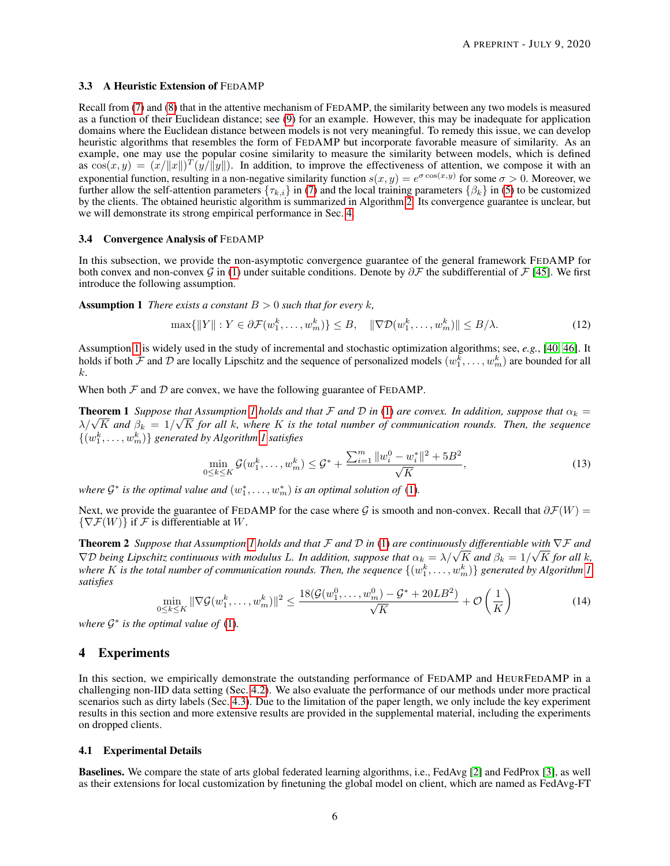#### <span id="page-5-0"></span>3.3 A Heuristic Extension of FEDAMP

Recall from [\(7\)](#page-3-4) and [\(8\)](#page-3-3) that in the attentive mechanism of FEDAMP, the similarity between any two models is measured as a function of their Euclidean distance; see [\(9\)](#page-4-1) for an example. However, this may be inadequate for application domains where the Euclidean distance between models is not very meaningful. To remedy this issue, we can develop heuristic algorithms that resembles the form of FEDAMP but incorporate favorable measure of similarity. As an example, one may use the popular cosine similarity to measure the similarity between models, which is defined as  $\cos(x, y) = (x/||x||)^T (y/||y||)$ . In addition, to improve the effectiveness of attention, we compose it with an exponential function, resulting in a non-negative similarity function  $s(x, y) = e^{\sigma \cos(x, y)}$  for some  $\sigma > 0$ . Moreover, we further allow the self-attention parameters  $\{\tau_{k,i}\}$  in [\(7\)](#page-3-4) and the local training parameters  $\{\beta_k\}$  in [\(5\)](#page-3-1) to be customized by the clients. The obtained heuristic algorithm is summarized in Algorithm [2.](#page-4-2) Its convergence guarantee is unclear, but we will demonstrate its strong empirical performance in Sec. [4.](#page-5-2)

#### <span id="page-5-1"></span>3.4 Convergence Analysis of FEDAMP

In this subsection, we provide the non-asymptotic convergence guarantee of the general framework FEDAMP for both convex and non-convex G in [\(1\)](#page-2-1) under suitable conditions. Denote by  $\partial \mathcal{F}$  the subdifferential of  $\mathcal{F}$  [\[45\]](#page-9-19). We first introduce the following assumption.

**Assumption 1** *There exists a constant*  $B > 0$  *such that for every k,* 

<span id="page-5-3"></span>
$$
\max\{\|Y\|: Y \in \partial \mathcal{F}(w_1^k, \dots, w_m^k)\} \le B, \quad \|\nabla \mathcal{D}(w_1^k, \dots, w_m^k)\| \le B/\lambda. \tag{12}
$$

Assumption [1](#page-5-3) is widely used in the study of incremental and stochastic optimization algorithms; see, *e.g.*, [\[40,](#page-9-14) [46\]](#page-9-20). It holds if both  $\cal F$  and  $\cal D$  are locally Lipschitz and the sequence of personalized models  $(w_1^k, \dots, w_m^k)$  are bounded for all k.

When both  $F$  and  $D$  are convex, we have the following guarantee of FEDAMP.

**Theorem [1](#page-5-3)** *Suppose that Assumption 1 holds and that*  $\mathcal F$  *and*  $\mathcal D$  *in* [\(1\)](#page-2-1) *are convex. In addition, suppose that*  $\alpha_k = \frac{1}{2}$ **Theorem T** Suppose that Assumption T holds and that *F* and *D* in (1) are convex. In dadition, suppose that  $\alpha_k = \lambda/\sqrt{K}$  and  $\beta_k = 1/\sqrt{K}$  for all k, where K is the total number of communication rounds. Then, the seque  $\{(w_1^k, \ldots, w_m^k)\}\$  generated by Algorithm [1](#page-3-2) satisfies

<span id="page-5-6"></span><span id="page-5-5"></span><span id="page-5-4"></span>
$$
\min_{0 \le k \le K} \mathcal{G}(w_1^k, \dots, w_m^k) \le \mathcal{G}^* + \frac{\sum_{i=1}^m \|w_i^0 - w_i^*\|^2 + 5B^2}{\sqrt{K}},\tag{13}
$$

*where*  $\mathcal{G}^*$  *is the optimal value and*  $(w_1^*, \ldots, w_m^*)$  *is an optimal solution of* [\(1\)](#page-2-1).

Next, we provide the guarantee of FEDAMP for the case where G is smooth and non-convex. Recall that  $\partial \mathcal{F}(W)$  =  ${\nabla} {\mathcal{F}}(W)$  if F is differentiable at W.

Theorem 2 *Suppose that Assumption [1](#page-5-3) holds and that* F *and* D *in* [\(1\)](#page-2-1) *are continuously differentiable with* ∇F *and* √ **Theorem 2** Suppose that Assumption 1 holds and that *F* and *D* in (1) are continuously differentiable with  $\nabla$ *F* and  $\nabla$ *D* being Lipschitz continuous with modulus L. In addition, suppose that  $\alpha_k = \lambda/\sqrt{K}$  and  $\beta$ where  $K$  is the total number of communication rounds. Then, the sequence  $\{(w_1^k, \dots, w_m^k)\}$  generated by Algorithm [1](#page-3-2) *satisfies*

$$
\min_{0 \le k \le K} \|\nabla \mathcal{G}(w_1^k, \dots, w_m^k)\|^2 \le \frac{18(\mathcal{G}(w_1^0, \dots, w_m^0) - \mathcal{G}^* + 20LB^2)}{\sqrt{K}} + \mathcal{O}\left(\frac{1}{K}\right) \tag{14}
$$

where  $G^*$  is the optimal value of  $(1)$ .

#### <span id="page-5-2"></span>4 Experiments

In this section, we empirically demonstrate the outstanding performance of FEDAMP and HEURFEDAMP in a challenging non-IID data setting (Sec. [4.2\)](#page-6-0). We also evaluate the performance of our methods under more practical scenarios such as dirty labels (Sec. [4.3\)](#page-6-1). Due to the limitation of the paper length, we only include the key experiment results in this section and more extensive results are provided in the supplemental material, including the experiments on dropped clients.

#### <span id="page-5-7"></span>4.1 Experimental Details

Baselines. We compare the state of arts global federated learning algorithms, i.e., FedAvg [\[2\]](#page-7-1) and FedProx [\[3\]](#page-8-0), as well as their extensions for local customization by finetuning the global model on client, which are named as FedAvg-FT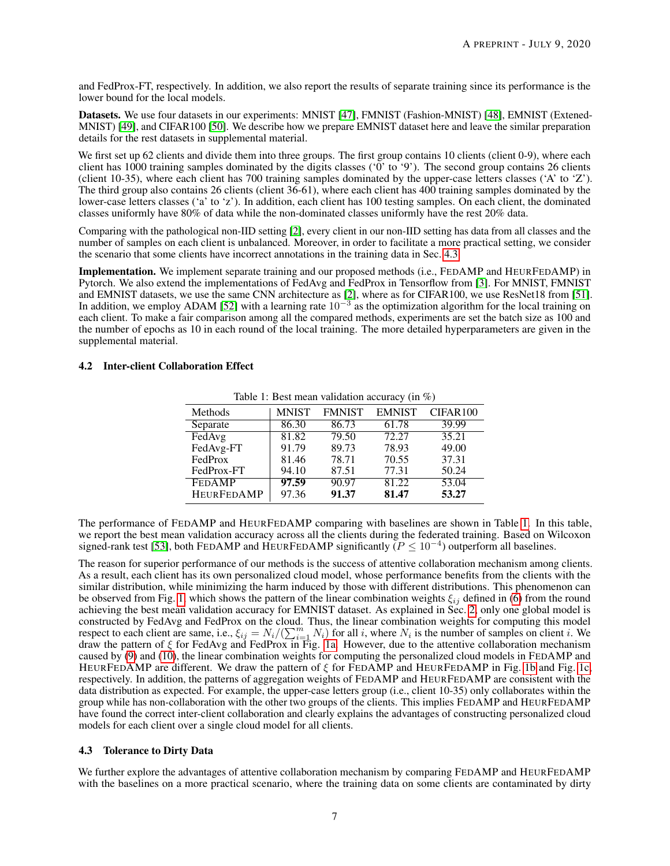and FedProx-FT, respectively. In addition, we also report the results of separate training since its performance is the lower bound for the local models.

Datasets. We use four datasets in our experiments: MNIST [\[47\]](#page-9-21), FMNIST (Fashion-MNIST) [\[48\]](#page-9-22), EMNIST (Extened-MNIST) [\[49\]](#page-9-23), and CIFAR100 [\[50\]](#page-9-24). We describe how we prepare EMNIST dataset here and leave the similar preparation details for the rest datasets in supplemental material.

We first set up 62 clients and divide them into three groups. The first group contains 10 clients (client 0-9), where each client has 1000 training samples dominated by the digits classes ('0' to '9'). The second group contains 26 clients (client 10-35), where each client has 700 training samples dominated by the upper-case letters classes ('A' to 'Z'). The third group also contains 26 clients (client 36-61), where each client has 400 training samples dominated by the lower-case letters classes ('a' to 'z'). In addition, each client has 100 testing samples. On each client, the dominated classes uniformly have 80% of data while the non-dominated classes uniformly have the rest 20% data.

Comparing with the pathological non-IID setting [\[2\]](#page-7-1), every client in our non-IID setting has data from all classes and the number of samples on each client is unbalanced. Moreover, in order to facilitate a more practical setting, we consider the scenario that some clients have incorrect annotations in the training data in Sec. [4.3.](#page-6-1)

Implementation. We implement separate training and our proposed methods (i.e., FEDAMP and HEURFEDAMP) in Pytorch. We also extend the implementations of FedAvg and FedProx in Tensorflow from [\[3\]](#page-8-0). For MNIST, FMNIST and EMNIST datasets, we use the same CNN architecture as [\[2\]](#page-7-1), where as for CIFAR100, we use ResNet18 from [\[51\]](#page-9-25). In addition, we employ ADAM [\[52\]](#page-10-0) with a learning rate  $10^{-3}$  as the optimization algorithm for the local training on each client. To make a fair comparison among all the compared methods, experiments are set the batch size as 100 and the number of epochs as 10 in each round of the local training. The more detailed hyperparameters are given in the supplemental material.

#### <span id="page-6-2"></span><span id="page-6-0"></span>4.2 Inter-client Collaboration Effect

|                   | raone 1. Dest mean vanuation accuracy (in $\omega$ ) |               |               |                    |  |  |  |  |
|-------------------|------------------------------------------------------|---------------|---------------|--------------------|--|--|--|--|
| Methods           | <b>MNIST</b>                                         | <b>FMNIST</b> | <b>EMNIST</b> | CIFAR100           |  |  |  |  |
| Separate          | 86.30                                                | 86.73         | 61.78         | 39.99              |  |  |  |  |
| FedAvg            | 81.82                                                | 79.50         | 72.27         | 35.21              |  |  |  |  |
| FedAvg-FT         | 91.79                                                | 89.73         | 78.93         | 49.00              |  |  |  |  |
| FedProx           | 81.46                                                | 78.71         | 70.55         | 37.31              |  |  |  |  |
| FedProx-FT        | 94.10                                                | 87.51         | 77.31         | 50.24              |  |  |  |  |
| <b>FEDAMP</b>     | 97.59                                                | 90.97         | 81.22         | $53.\overline{04}$ |  |  |  |  |
| <b>HEURFEDAMP</b> | 97.36                                                | 91.37         | 81.47         | 53.27              |  |  |  |  |

Table 1: Best mean validation accuracy (in  $\%$ )

The performance of FEDAMP and HEURFEDAMP comparing with baselines are shown in Table [1.](#page-6-2) In this table, we report the best mean validation accuracy across all the clients during the federated training. Based on Wilcoxon signed-rank test [\[53\]](#page-10-1), both FEDAMP and HEURFEDAMP significantly  $(P \le 10^{-4})$  outperform all baselines.

The reason for superior performance of our methods is the success of attentive collaboration mechanism among clients. As a result, each client has its own personalized cloud model, whose performance benefits from the clients with the similar distribution, while minimizing the harm induced by those with different distributions. This phenomenon can be observed from Fig. [1,](#page-7-2) which shows the pattern of the linear combination weights  $\xi_{ij}$  defined in [\(6\)](#page-3-5) from the round achieving the best mean validation accuracy for EMNIST dataset. As explained in Sec. [2,](#page-1-0) only one global model is constructed by FedAvg and FedProx on the cloud. Thus, the linear combination weights for computing this model respect to each client are same, i.e.,  $\xi_{ij} = N_i/(\sum_{i=1}^m N_i)$  for all i, where  $N_i$  is the number of samples on client i. We draw the pattern of ξ for FedAvg and FedProx in Fig. [1a.](#page-7-2) However, due to the attentive collaboration mechanism caused by [\(9\)](#page-4-1) and [\(10\)](#page-4-3), the linear combination weights for computing the personalized cloud models in FEDAMP and HEURFEDAMP are different. We draw the pattern of  $\xi$  for FEDAMP and HEURFEDAMP in Fig. [1b](#page-7-2) and Fig. [1c,](#page-7-2) respectively. In addition, the patterns of aggregation weights of FEDAMP and HEURFEDAMP are consistent with the data distribution as expected. For example, the upper-case letters group (i.e., client 10-35) only collaborates within the group while has non-collaboration with the other two groups of the clients. This implies FEDAMP and HEURFEDAMP have found the correct inter-client collaboration and clearly explains the advantages of constructing personalized cloud models for each client over a single cloud model for all clients.

#### <span id="page-6-1"></span>4.3 Tolerance to Dirty Data

We further explore the advantages of attentive collaboration mechanism by comparing FEDAMP and HEURFEDAMP with the baselines on a more practical scenario, where the training data on some clients are contaminated by dirty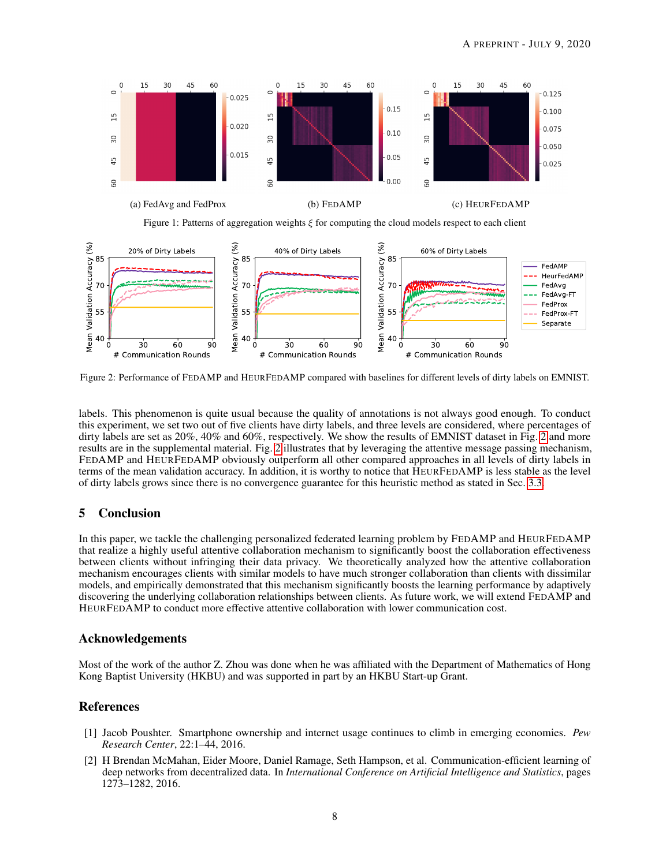<span id="page-7-2"></span>

Figure 1: Patterns of aggregation weights  $\xi$  for computing the cloud models respect to each client

<span id="page-7-3"></span>

Figure 2: Performance of FEDAMP and HEURFEDAMP compared with baselines for different levels of dirty labels on EMNIST.

labels. This phenomenon is quite usual because the quality of annotations is not always good enough. To conduct this experiment, we set two out of five clients have dirty labels, and three levels are considered, where percentages of dirty labels are set as [2](#page-7-3)0%, 40% and 60%, respectively. We show the results of EMNIST dataset in Fig. 2 and more results are in the supplemental material. Fig. [2](#page-7-3) illustrates that by leveraging the attentive message passing mechanism, FEDAMP and HEURFEDAMP obviously outperform all other compared approaches in all levels of dirty labels in terms of the mean validation accuracy. In addition, it is worthy to notice that HEURFEDAMP is less stable as the level of dirty labels grows since there is no convergence guarantee for this heuristic method as stated in Sec. [3.3.](#page-5-0)

# 5 Conclusion

In this paper, we tackle the challenging personalized federated learning problem by FEDAMP and HEURFEDAMP that realize a highly useful attentive collaboration mechanism to significantly boost the collaboration effectiveness between clients without infringing their data privacy. We theoretically analyzed how the attentive collaboration mechanism encourages clients with similar models to have much stronger collaboration than clients with dissimilar models, and empirically demonstrated that this mechanism significantly boosts the learning performance by adaptively discovering the underlying collaboration relationships between clients. As future work, we will extend FEDAMP and HEURFEDAMP to conduct more effective attentive collaboration with lower communication cost.

# Acknowledgements

Most of the work of the author Z. Zhou was done when he was affiliated with the Department of Mathematics of Hong Kong Baptist University (HKBU) and was supported in part by an HKBU Start-up Grant.

## References

- <span id="page-7-0"></span>[1] Jacob Poushter. Smartphone ownership and internet usage continues to climb in emerging economies. *Pew Research Center*, 22:1–44, 2016.
- <span id="page-7-1"></span>[2] H Brendan McMahan, Eider Moore, Daniel Ramage, Seth Hampson, et al. Communication-efficient learning of deep networks from decentralized data. In *International Conference on Artificial Intelligence and Statistics*, pages 1273–1282, 2016.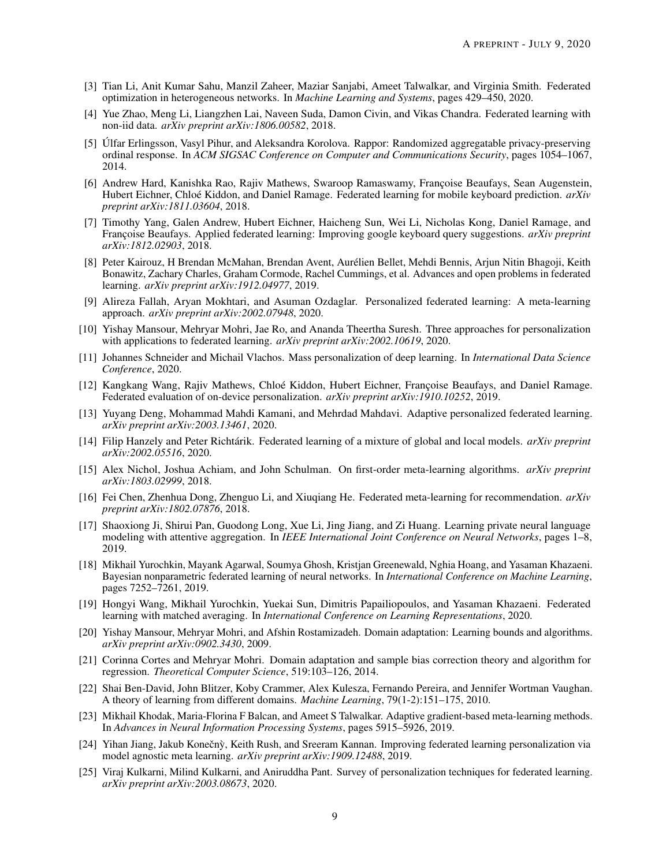- <span id="page-8-0"></span>[3] Tian Li, Anit Kumar Sahu, Manzil Zaheer, Maziar Sanjabi, Ameet Talwalkar, and Virginia Smith. Federated optimization in heterogeneous networks. In *Machine Learning and Systems*, pages 429–450, 2020.
- <span id="page-8-1"></span>[4] Yue Zhao, Meng Li, Liangzhen Lai, Naveen Suda, Damon Civin, and Vikas Chandra. Federated learning with non-iid data. *arXiv preprint arXiv:1806.00582*, 2018.
- <span id="page-8-2"></span>[5] Úlfar Erlingsson, Vasyl Pihur, and Aleksandra Korolova. Rappor: Randomized aggregatable privacy-preserving ordinal response. In *ACM SIGSAC Conference on Computer and Communications Security*, pages 1054–1067, 2014.
- <span id="page-8-3"></span>[6] Andrew Hard, Kanishka Rao, Rajiv Mathews, Swaroop Ramaswamy, Françoise Beaufays, Sean Augenstein, Hubert Eichner, Chloé Kiddon, and Daniel Ramage. Federated learning for mobile keyboard prediction. *arXiv preprint arXiv:1811.03604*, 2018.
- <span id="page-8-4"></span>[7] Timothy Yang, Galen Andrew, Hubert Eichner, Haicheng Sun, Wei Li, Nicholas Kong, Daniel Ramage, and Françoise Beaufays. Applied federated learning: Improving google keyboard query suggestions. *arXiv preprint arXiv:1812.02903*, 2018.
- <span id="page-8-5"></span>[8] Peter Kairouz, H Brendan McMahan, Brendan Avent, Aurélien Bellet, Mehdi Bennis, Arjun Nitin Bhagoji, Keith Bonawitz, Zachary Charles, Graham Cormode, Rachel Cummings, et al. Advances and open problems in federated learning. *arXiv preprint arXiv:1912.04977*, 2019.
- <span id="page-8-6"></span>[9] Alireza Fallah, Aryan Mokhtari, and Asuman Ozdaglar. Personalized federated learning: A meta-learning approach. *arXiv preprint arXiv:2002.07948*, 2020.
- <span id="page-8-7"></span>[10] Yishay Mansour, Mehryar Mohri, Jae Ro, and Ananda Theertha Suresh. Three approaches for personalization with applications to federated learning. *arXiv preprint arXiv:2002.10619*, 2020.
- <span id="page-8-8"></span>[11] Johannes Schneider and Michail Vlachos. Mass personalization of deep learning. In *International Data Science Conference*, 2020.
- <span id="page-8-9"></span>[12] Kangkang Wang, Rajiv Mathews, Chloé Kiddon, Hubert Eichner, Françoise Beaufays, and Daniel Ramage. Federated evaluation of on-device personalization. *arXiv preprint arXiv:1910.10252*, 2019.
- <span id="page-8-10"></span>[13] Yuyang Deng, Mohammad Mahdi Kamani, and Mehrdad Mahdavi. Adaptive personalized federated learning. *arXiv preprint arXiv:2003.13461*, 2020.
- <span id="page-8-11"></span>[14] Filip Hanzely and Peter Richtárik. Federated learning of a mixture of global and local models. *arXiv preprint arXiv:2002.05516*, 2020.
- <span id="page-8-12"></span>[15] Alex Nichol, Joshua Achiam, and John Schulman. On first-order meta-learning algorithms. *arXiv preprint arXiv:1803.02999*, 2018.
- <span id="page-8-13"></span>[16] Fei Chen, Zhenhua Dong, Zhenguo Li, and Xiuqiang He. Federated meta-learning for recommendation. *arXiv preprint arXiv:1802.07876*, 2018.
- <span id="page-8-14"></span>[17] Shaoxiong Ji, Shirui Pan, Guodong Long, Xue Li, Jing Jiang, and Zi Huang. Learning private neural language modeling with attentive aggregation. In *IEEE International Joint Conference on Neural Networks*, pages 1–8, 2019.
- <span id="page-8-15"></span>[18] Mikhail Yurochkin, Mayank Agarwal, Soumya Ghosh, Kristjan Greenewald, Nghia Hoang, and Yasaman Khazaeni. Bayesian nonparametric federated learning of neural networks. In *International Conference on Machine Learning*, pages 7252–7261, 2019.
- <span id="page-8-16"></span>[19] Hongyi Wang, Mikhail Yurochkin, Yuekai Sun, Dimitris Papailiopoulos, and Yasaman Khazaeni. Federated learning with matched averaging. In *International Conference on Learning Representations*, 2020.
- <span id="page-8-17"></span>[20] Yishay Mansour, Mehryar Mohri, and Afshin Rostamizadeh. Domain adaptation: Learning bounds and algorithms. *arXiv preprint arXiv:0902.3430*, 2009.
- <span id="page-8-18"></span>[21] Corinna Cortes and Mehryar Mohri. Domain adaptation and sample bias correction theory and algorithm for regression. *Theoretical Computer Science*, 519:103–126, 2014.
- <span id="page-8-19"></span>[22] Shai Ben-David, John Blitzer, Koby Crammer, Alex Kulesza, Fernando Pereira, and Jennifer Wortman Vaughan. A theory of learning from different domains. *Machine Learning*, 79(1-2):151–175, 2010.
- <span id="page-8-20"></span>[23] Mikhail Khodak, Maria-Florina F Balcan, and Ameet S Talwalkar. Adaptive gradient-based meta-learning methods. In *Advances in Neural Information Processing Systems*, pages 5915–5926, 2019.
- <span id="page-8-21"></span>[24] Yihan Jiang, Jakub Konečnỳ, Keith Rush, and Sreeram Kannan. Improving federated learning personalization via model agnostic meta learning. *arXiv preprint arXiv:1909.12488*, 2019.
- <span id="page-8-22"></span>[25] Viraj Kulkarni, Milind Kulkarni, and Aniruddha Pant. Survey of personalization techniques for federated learning. *arXiv preprint arXiv:2003.08673*, 2020.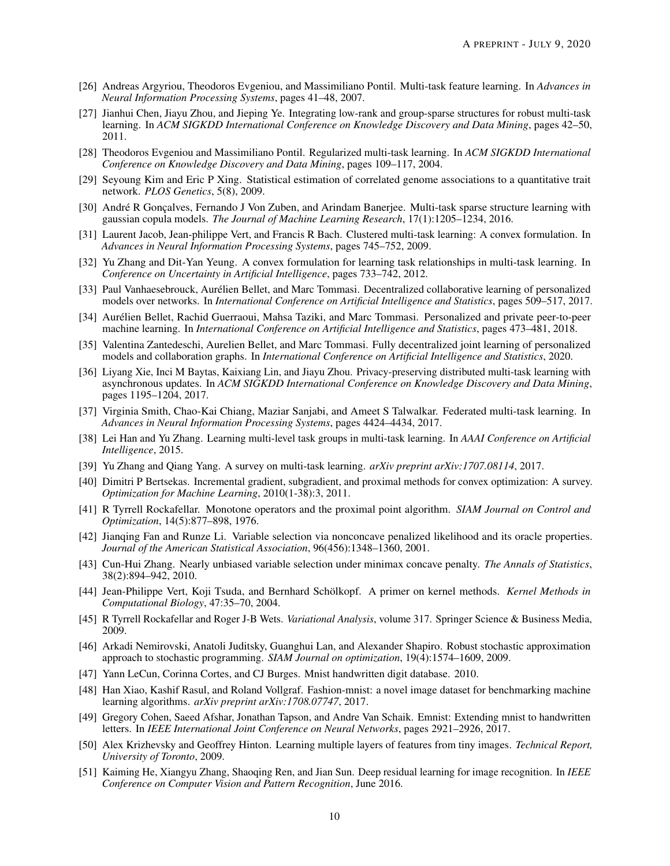- <span id="page-9-0"></span>[26] Andreas Argyriou, Theodoros Evgeniou, and Massimiliano Pontil. Multi-task feature learning. In *Advances in Neural Information Processing Systems*, pages 41–48, 2007.
- <span id="page-9-1"></span>[27] Jianhui Chen, Jiayu Zhou, and Jieping Ye. Integrating low-rank and group-sparse structures for robust multi-task learning. In *ACM SIGKDD International Conference on Knowledge Discovery and Data Mining*, pages 42–50, 2011.
- <span id="page-9-2"></span>[28] Theodoros Evgeniou and Massimiliano Pontil. Regularized multi-task learning. In *ACM SIGKDD International Conference on Knowledge Discovery and Data Mining*, pages 109–117, 2004.
- <span id="page-9-3"></span>[29] Seyoung Kim and Eric P Xing. Statistical estimation of correlated genome associations to a quantitative trait network. *PLOS Genetics*, 5(8), 2009.
- <span id="page-9-4"></span>[30] André R Gonçalves, Fernando J Von Zuben, and Arindam Banerjee. Multi-task sparse structure learning with gaussian copula models. *The Journal of Machine Learning Research*, 17(1):1205–1234, 2016.
- <span id="page-9-5"></span>[31] Laurent Jacob, Jean-philippe Vert, and Francis R Bach. Clustered multi-task learning: A convex formulation. In *Advances in Neural Information Processing Systems*, pages 745–752, 2009.
- <span id="page-9-6"></span>[32] Yu Zhang and Dit-Yan Yeung. A convex formulation for learning task relationships in multi-task learning. In *Conference on Uncertainty in Artificial Intelligence*, pages 733–742, 2012.
- <span id="page-9-7"></span>[33] Paul Vanhaesebrouck, Aurélien Bellet, and Marc Tommasi. Decentralized collaborative learning of personalized models over networks. In *International Conference on Artificial Intelligence and Statistics*, pages 509–517, 2017.
- <span id="page-9-8"></span>[34] Aurélien Bellet, Rachid Guerraoui, Mahsa Taziki, and Marc Tommasi. Personalized and private peer-to-peer machine learning. In *International Conference on Artificial Intelligence and Statistics*, pages 473–481, 2018.
- <span id="page-9-9"></span>[35] Valentina Zantedeschi, Aurelien Bellet, and Marc Tommasi. Fully decentralized joint learning of personalized models and collaboration graphs. In *International Conference on Artificial Intelligence and Statistics*, 2020.
- <span id="page-9-10"></span>[36] Liyang Xie, Inci M Baytas, Kaixiang Lin, and Jiayu Zhou. Privacy-preserving distributed multi-task learning with asynchronous updates. In *ACM SIGKDD International Conference on Knowledge Discovery and Data Mining*, pages 1195–1204, 2017.
- <span id="page-9-11"></span>[37] Virginia Smith, Chao-Kai Chiang, Maziar Sanjabi, and Ameet S Talwalkar. Federated multi-task learning. In *Advances in Neural Information Processing Systems*, pages 4424–4434, 2017.
- <span id="page-9-12"></span>[38] Lei Han and Yu Zhang. Learning multi-level task groups in multi-task learning. In *AAAI Conference on Artificial Intelligence*, 2015.
- <span id="page-9-13"></span>[39] Yu Zhang and Qiang Yang. A survey on multi-task learning. *arXiv preprint arXiv:1707.08114*, 2017.
- <span id="page-9-14"></span>[40] Dimitri P Bertsekas. Incremental gradient, subgradient, and proximal methods for convex optimization: A survey. *Optimization for Machine Learning*, 2010(1-38):3, 2011.
- <span id="page-9-15"></span>[41] R Tyrrell Rockafellar. Monotone operators and the proximal point algorithm. *SIAM Journal on Control and Optimization*, 14(5):877–898, 1976.
- <span id="page-9-16"></span>[42] Jianqing Fan and Runze Li. Variable selection via nonconcave penalized likelihood and its oracle properties. *Journal of the American Statistical Association*, 96(456):1348–1360, 2001.
- <span id="page-9-17"></span>[43] Cun-Hui Zhang. Nearly unbiased variable selection under minimax concave penalty. *The Annals of Statistics*, 38(2):894–942, 2010.
- <span id="page-9-18"></span>[44] Jean-Philippe Vert, Koji Tsuda, and Bernhard Schölkopf. A primer on kernel methods. *Kernel Methods in Computational Biology*, 47:35–70, 2004.
- <span id="page-9-19"></span>[45] R Tyrrell Rockafellar and Roger J-B Wets. *Variational Analysis*, volume 317. Springer Science & Business Media, 2009.
- <span id="page-9-20"></span>[46] Arkadi Nemirovski, Anatoli Juditsky, Guanghui Lan, and Alexander Shapiro. Robust stochastic approximation approach to stochastic programming. *SIAM Journal on optimization*, 19(4):1574–1609, 2009.
- <span id="page-9-21"></span>[47] Yann LeCun, Corinna Cortes, and CJ Burges. Mnist handwritten digit database. 2010.
- <span id="page-9-22"></span>[48] Han Xiao, Kashif Rasul, and Roland Vollgraf. Fashion-mnist: a novel image dataset for benchmarking machine learning algorithms. *arXiv preprint arXiv:1708.07747*, 2017.
- <span id="page-9-23"></span>[49] Gregory Cohen, Saeed Afshar, Jonathan Tapson, and Andre Van Schaik. Emnist: Extending mnist to handwritten letters. In *IEEE International Joint Conference on Neural Networks*, pages 2921–2926, 2017.
- <span id="page-9-24"></span>[50] Alex Krizhevsky and Geoffrey Hinton. Learning multiple layers of features from tiny images. *Technical Report, University of Toronto*, 2009.
- <span id="page-9-25"></span>[51] Kaiming He, Xiangyu Zhang, Shaoqing Ren, and Jian Sun. Deep residual learning for image recognition. In *IEEE Conference on Computer Vision and Pattern Recognition*, June 2016.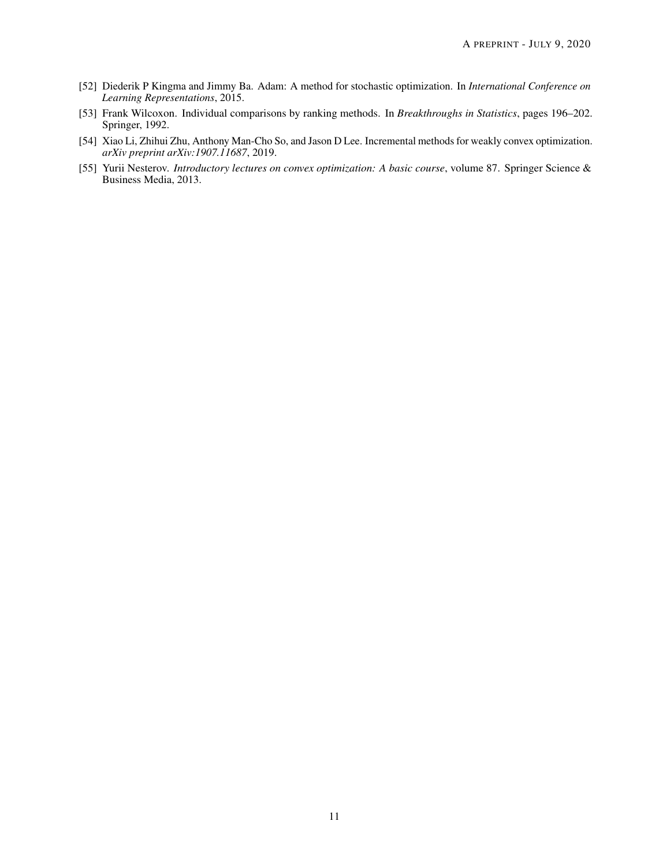- <span id="page-10-0"></span>[52] Diederik P Kingma and Jimmy Ba. Adam: A method for stochastic optimization. In *International Conference on Learning Representations*, 2015.
- <span id="page-10-1"></span>[53] Frank Wilcoxon. Individual comparisons by ranking methods. In *Breakthroughs in Statistics*, pages 196–202. Springer, 1992.
- <span id="page-10-2"></span>[54] Xiao Li, Zhihui Zhu, Anthony Man-Cho So, and Jason D Lee. Incremental methods for weakly convex optimization. *arXiv preprint arXiv:1907.11687*, 2019.
- <span id="page-10-3"></span>[55] Yurii Nesterov. *Introductory lectures on convex optimization: A basic course*, volume 87. Springer Science & Business Media, 2013.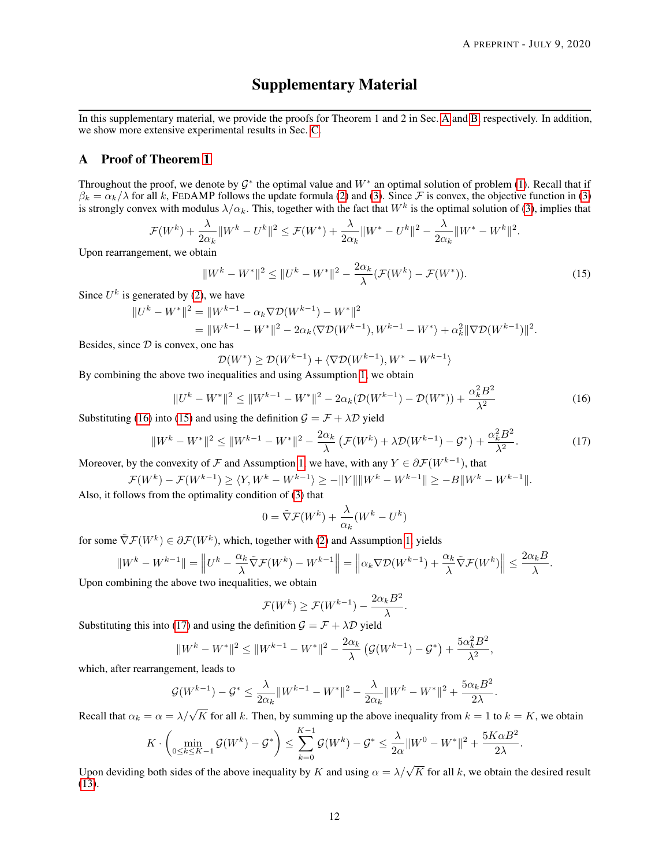# Supplementary Material

In this supplementary material, we provide the proofs for Theorem 1 and 2 in Sec. [A](#page-11-0) and [B,](#page-12-0) respectively. In addition, we show more extensive experimental results in Sec. [C.](#page-14-0)

# <span id="page-11-0"></span>A Proof of Theorem [1](#page-5-4)

Throughout the proof, we denote by  $\mathcal{G}^*$  the optimal value and  $W^*$  an optimal solution of problem [\(1\)](#page-2-1). Recall that if  $\beta_k = \alpha_k/\lambda$  for all k, FEDAMP follows the update formula [\(2\)](#page-2-2) and [\(3\)](#page-2-4). Since F is convex, the objective function in (3) is strongly convex with modulus  $\lambda/\alpha_k$ . This, together with the fact that  $W^k$  is the optimal solution of [\(3\)](#page-2-4), implies that

$$
\mathcal{F}(W^k) + \frac{\lambda}{2\alpha_k} \|W^k - U^k\|^2 \le \mathcal{F}(W^*) + \frac{\lambda}{2\alpha_k} \|W^* - U^k\|^2 - \frac{\lambda}{2\alpha_k} \|W^* - W^k\|^2.
$$

Upon rearrangement, we obtain

<span id="page-11-2"></span>
$$
||W^{k} - W^{*}||^{2} \le ||U^{k} - W^{*}||^{2} - \frac{2\alpha_{k}}{\lambda}(\mathcal{F}(W^{k}) - \mathcal{F}(W^{*})).
$$
\n(15)

Since  $U^k$  is generated by [\(2\)](#page-2-2), we have

$$
||U^k - W^*||^2 = ||W^{k-1} - \alpha_k \nabla \mathcal{D}(W^{k-1}) - W^*||^2
$$
  
= 
$$
||W^{k-1} - W^*||^2 - 2\alpha_k \langle \nabla \mathcal{D}(W^{k-1}), W^{k-1} - W^* \rangle + \alpha_k^2 ||\nabla \mathcal{D}(W^{k-1})||^2.
$$

Besides, since  $D$  is convex, one has

<span id="page-11-1"></span>
$$
\mathcal{D}(W^*) \ge \mathcal{D}(W^{k-1}) + \langle \nabla \mathcal{D}(W^{k-1}), W^* - W^{k-1} \rangle
$$

By combining the above two inequalities and using Assumption [1,](#page-5-3) we obtain

$$
||U^k - W^*||^2 \le ||W^{k-1} - W^*||^2 - 2\alpha_k(\mathcal{D}(W^{k-1}) - \mathcal{D}(W^*)) + \frac{\alpha_k^2 B^2}{\lambda^2}
$$
\n(16)

Substituting [\(16\)](#page-11-1) into [\(15\)](#page-11-2) and using the definition  $G = \mathcal{F} + \lambda \mathcal{D}$  yield

$$
||W^{k} - W^{*}||^{2} \le ||W^{k-1} - W^{*}||^{2} - \frac{2\alpha_{k}}{\lambda} \left( \mathcal{F}(W^{k}) + \lambda \mathcal{D}(W^{k-1}) - \mathcal{G}^{*} \right) + \frac{\alpha_{k}^{2} B^{2}}{\lambda^{2}}.
$$
 (17)

Moreover, by the convexity of F and Assumption [1,](#page-5-3) we have, with any  $Y \in \partial \mathcal{F}(W^{k-1})$ , that

$$
\mathcal{F}(W^k) - \mathcal{F}(W^{k-1}) \ge \langle Y, W^k - W^{k-1} \rangle \ge -\|Y\| \|W^k - W^{k-1}\| \ge -B \|W^k - W^{k-1}\|.
$$

Also, it follows from the optimality condition of [\(3\)](#page-2-4) that

<span id="page-11-3"></span>
$$
0 = \tilde{\nabla} \mathcal{F}(W^k) + \frac{\lambda}{\alpha_k} (W^k - U^k)
$$

for some  $\tilde{\nabla} \mathcal{F}(W^k) \in \partial \mathcal{F}(W^k)$ , which, together with [\(2\)](#page-2-2) and Assumption [1,](#page-5-3) yields

$$
||W^k - W^{k-1}|| = \left||U^k - \frac{\alpha_k}{\lambda} \tilde{\nabla} \mathcal{F}(W^k) - W^{k-1}||\right| = \left||\alpha_k \nabla \mathcal{D}(W^{k-1}) + \frac{\alpha_k}{\lambda} \tilde{\nabla} \mathcal{F}(W^k)\right|| \le \frac{2\alpha_k B}{\lambda}.
$$

Upon combining the above two inequalities, we obtain

$$
\mathcal{F}(W^k) \ge \mathcal{F}(W^{k-1}) - \frac{2\alpha_k B^2}{\lambda}.
$$

Substituting this into [\(17\)](#page-11-3) and using the definition  $\mathcal{G} = \mathcal{F} + \lambda \mathcal{D}$  yield

$$
||W^{k}-W^{*}||^{2} \leq ||W^{k-1}-W^{*}||^{2} - \frac{2\alpha_{k}}{\lambda} \left( \mathcal{G}(W^{k-1}) - \mathcal{G}^{*} \right) + \frac{5\alpha_{k}^{2}B^{2}}{\lambda^{2}},
$$

which, after rearrangement, leads to

$$
\mathcal{G}(W^{k-1}) - \mathcal{G}^* \le \frac{\lambda}{2\alpha_k} \|W^{k-1} - W^*\|^2 - \frac{\lambda}{2\alpha_k} \|W^k - W^*\|^2 + \frac{5\alpha_k B^2}{2\lambda}.
$$

Recall that  $\alpha_k = \alpha = \lambda/\sqrt{K}$  for all k. Then, by summing up the above inequality from  $k = 1$  to  $k = K$ , we obtain

$$
K \cdot \left( \min_{0 \le k \le K-1} \mathcal{G}(W^k) - \mathcal{G}^* \right) \le \sum_{k=0}^{K-1} \mathcal{G}(W^k) - \mathcal{G}^* \le \frac{\lambda}{2\alpha} \|W^0 - W^*\|^2 + \frac{5K\alpha B^2}{2\lambda}.
$$

Upon deviding both sides of the above inequality by K and using  $\alpha = \lambda/\sqrt{K}$  for all k, we obtain the desired result [\(13\)](#page-5-5).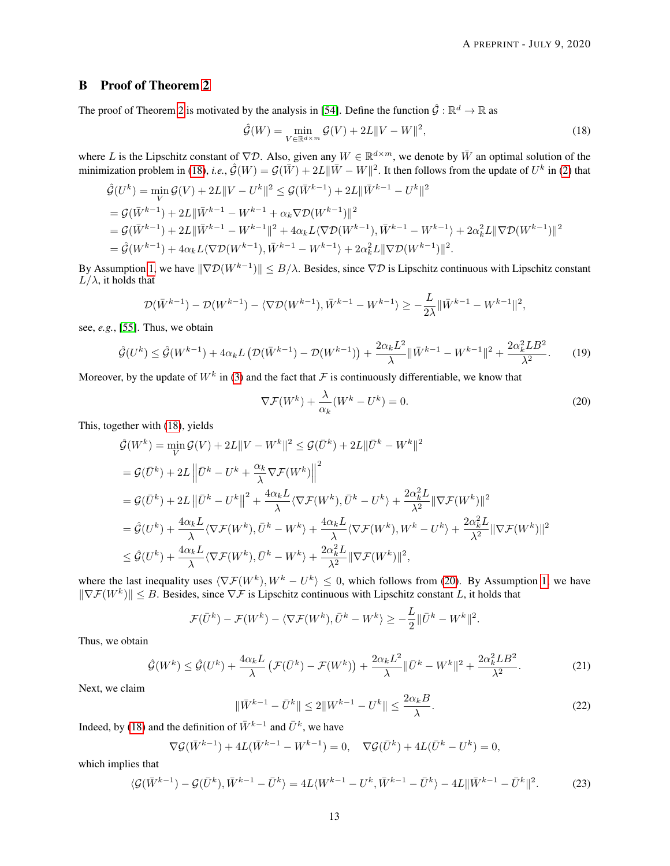# <span id="page-12-0"></span>B Proof of Theorem [2](#page-5-6)

The proof of Theorem [2](#page-5-6) is motivated by the analysis in [\[54\]](#page-10-2). Define the function  $\hat{G} : \mathbb{R}^d \to \mathbb{R}$  as

<span id="page-12-1"></span>
$$
\hat{\mathcal{G}}(W) = \min_{V \in \mathbb{R}^{d \times m}} \mathcal{G}(V) + 2L \|V - W\|^2,
$$
\n(18)

where L is the Lipschitz constant of  $\nabla \mathcal{D}$ . Also, given any  $W \in \mathbb{R}^{d \times m}$ , we denote by  $\bar{W}$  an optimal solution of the minimization problem in [\(18\)](#page-12-1), *i.e.*,  $\hat{G}(W) = G(\bar{W}) + 2L\|\bar{W} - W\|^2$ . It then follows from the update of  $U^k$  in [\(2\)](#page-2-2) that

$$
\hat{\mathcal{G}}(U^{k}) = \min_{V} \mathcal{G}(V) + 2L||V - U^{k}||^{2} \leq \mathcal{G}(\bar{W}^{k-1}) + 2L||\bar{W}^{k-1} - U^{k}||^{2}
$$
\n
$$
= \mathcal{G}(\bar{W}^{k-1}) + 2L||\bar{W}^{k-1} - W^{k-1} + \alpha_{k} \nabla \mathcal{D}(W^{k-1})||^{2}
$$
\n
$$
= \mathcal{G}(\bar{W}^{k-1}) + 2L||\bar{W}^{k-1} - W^{k-1}||^{2} + 4\alpha_{k}L\langle \nabla \mathcal{D}(W^{k-1}), \bar{W}^{k-1} - W^{k-1} \rangle + 2\alpha_{k}^{2}L||\nabla \mathcal{D}(W^{k-1})||^{2}
$$
\n
$$
= \hat{\mathcal{G}}(W^{k-1}) + 4\alpha_{k}L\langle \nabla \mathcal{D}(W^{k-1}), \bar{W}^{k-1} - W^{k-1} \rangle + 2\alpha_{k}^{2}L||\nabla \mathcal{D}(W^{k-1})||^{2}.
$$

By Assumption [1,](#page-5-3) we have  $\|\nabla \mathcal{D}(W^{k-1})\| \leq B/\lambda$ . Besides, since  $\nabla \mathcal{D}$  is Lipschitz continuous with Lipschitz constant  $L/\lambda$ , it holds that

<span id="page-12-6"></span>
$$
\mathcal{D}(\bar{W}^{k-1}) - \mathcal{D}(W^{k-1}) - \langle \nabla \mathcal{D}(W^{k-1}), \bar{W}^{k-1} - W^{k-1} \rangle \ge -\frac{L}{2\lambda} \|\bar{W}^{k-1} - W^{k-1}\|^2,
$$

see, *e.g.*, [\[55\]](#page-10-3). Thus, we obtain

$$
\hat{\mathcal{G}}(U^k) \le \hat{\mathcal{G}}(W^{k-1}) + 4\alpha_k L \left( \mathcal{D}(\bar{W}^{k-1}) - \mathcal{D}(W^{k-1}) \right) + \frac{2\alpha_k L^2}{\lambda} \|\bar{W}^{k-1} - W^{k-1}\|^2 + \frac{2\alpha_k^2 L B^2}{\lambda^2}.
$$
 (19)

Moreover, by the update of  $W^k$  in [\(3\)](#page-2-4) and the fact that  $\mathcal F$  is continuously differentiable, we know that

<span id="page-12-2"></span>
$$
\nabla \mathcal{F}(W^k) + \frac{\lambda}{\alpha_k} (W^k - U^k) = 0.
$$
\n(20)

This, together with [\(18\)](#page-12-1), yields

$$
\hat{\mathcal{G}}(W^k) = \min_{V} \mathcal{G}(V) + 2L||V - W^k||^2 \leq \mathcal{G}(\bar{U}^k) + 2L||\bar{U}^k - W^k||^2
$$
\n
$$
= \mathcal{G}(\bar{U}^k) + 2L||\bar{U}^k - U^k + \frac{\alpha_k}{\lambda} \nabla \mathcal{F}(W^k)||^2
$$
\n
$$
= \mathcal{G}(\bar{U}^k) + 2L||\bar{U}^k - U^k||^2 + \frac{4\alpha_k L}{\lambda} \langle \nabla \mathcal{F}(W^k), \bar{U}^k - U^k \rangle + \frac{2\alpha_k^2 L}{\lambda^2} ||\nabla \mathcal{F}(W^k)||^2
$$
\n
$$
= \hat{\mathcal{G}}(U^k) + \frac{4\alpha_k L}{\lambda} \langle \nabla \mathcal{F}(W^k), \bar{U}^k - W^k \rangle + \frac{4\alpha_k L}{\lambda} \langle \nabla \mathcal{F}(W^k), W^k - U^k \rangle + \frac{2\alpha_k^2 L}{\lambda^2} ||\nabla \mathcal{F}(W^k)||^2
$$
\n
$$
\leq \hat{\mathcal{G}}(U^k) + \frac{4\alpha_k L}{\lambda} \langle \nabla \mathcal{F}(W^k), \bar{U}^k - W^k \rangle + \frac{2\alpha_k^2 L}{\lambda^2} ||\nabla \mathcal{F}(W^k)||^2,
$$

where the last inequality uses  $\langle \nabla \mathcal{F}(W^k), W^k - U^k \rangle \leq 0$ , which follows from [\(20\)](#page-12-2). By Assumption [1,](#page-5-3) we have  $\|\nabla \mathcal{F}(W^k)\| \leq B$ . Besides, since  $\nabla \mathcal{F}$  is Lipschitz continuous with Lipschitz constant L, it holds that

$$
\mathcal{F}(\bar{U}^k) - \mathcal{F}(W^k) - \langle \nabla \mathcal{F}(W^k), \bar{U}^k - W^k \rangle \ge -\frac{L}{2} \|\bar{U}^k - W^k\|^2.
$$

Thus, we obtain

<span id="page-12-5"></span><span id="page-12-4"></span>
$$
\hat{\mathcal{G}}(W^k) \le \hat{\mathcal{G}}(U^k) + \frac{4\alpha_k L}{\lambda} \left( \mathcal{F}(\bar{U}^k) - \mathcal{F}(W^k) \right) + \frac{2\alpha_k L^2}{\lambda} \|\bar{U}^k - W^k\|^2 + \frac{2\alpha_k^2 L B^2}{\lambda^2}.
$$
 (21)

Next, we claim

$$
\|\bar{W}^{k-1} - \bar{U}^k\| \le 2\|W^{k-1} - U^k\| \le \frac{2\alpha_k B}{\lambda}.
$$
\n(22)

Indeed, by [\(18\)](#page-12-1) and the definition of  $\bar{W}^{k-1}$  and  $\bar{U}^k$ , we have

<span id="page-12-3"></span>
$$
\nabla \mathcal{G}(\bar{W}^{k-1}) + 4L(\bar{W}^{k-1} - W^{k-1}) = 0, \quad \nabla \mathcal{G}(\bar{U}^k) + 4L(\bar{U}^k - U^k) = 0,
$$

which implies that

$$
\langle \mathcal{G}(\bar{W}^{k-1}) - \mathcal{G}(\bar{U}^k), \bar{W}^{k-1} - \bar{U}^k \rangle = 4L \langle W^{k-1} - U^k, \bar{W}^{k-1} - \bar{U}^k \rangle - 4L \|\bar{W}^{k-1} - \bar{U}^k\|^2.
$$
 (23)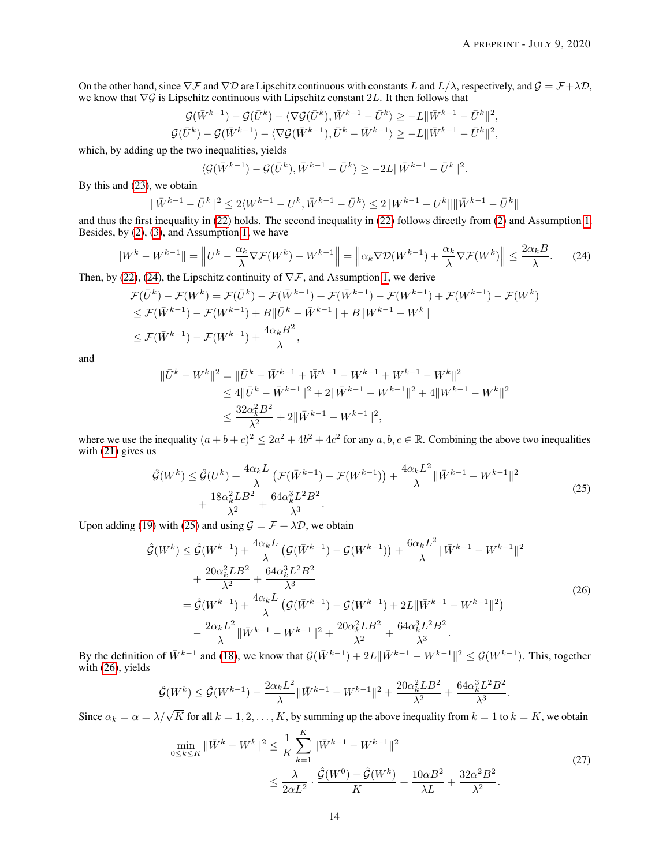On the other hand, since  $\nabla \mathcal{F}$  and  $\nabla \mathcal{D}$  are Lipschitz continuous with constants L and  $L/\lambda$ , respectively, and  $\mathcal{G} = \mathcal{F} + \lambda \mathcal{D}$ , we know that  $\nabla G$  is Lipschitz continuous with Lipschitz constant 2L. It then follows that

$$
\mathcal G(\bar W^{k-1})-\mathcal G(\bar U^k)-\langle\nabla \mathcal G(\bar U^k), \bar W^{k-1}-\bar U^k\rangle\geq -L\|\bar W^{k-1}-\bar U^k\|^2,\\ \mathcal G(\bar U^k)-\mathcal G(\bar W^{k-1})-\langle\nabla \mathcal G(\bar W^{k-1}), \bar U^k-\bar W^{k-1}\rangle\geq -L\|\bar W^{k-1}-\bar U^k\|^2,
$$

which, by adding up the two inequalities, yields

<span id="page-13-0"></span>
$$
\langle \mathcal{G}(\bar{W}^{k-1}) - \mathcal{G}(\bar{U}^k), \bar{W}^{k-1} - \bar{U}^k \rangle \ge -2L \|\bar{W}^{k-1} - \bar{U}^k\|^2.
$$

By this and [\(23\)](#page-12-3), we obtain

$$
\|\bar{W}^{k-1}-\bar{U}^k\|^2\leq 2\langle W^{k-1}-U^k,\bar{W}^{k-1}-\bar{U}^k\rangle\leq 2\|W^{k-1}-U^k\|\|\bar{W}^{k-1}-\bar{U}^k\|
$$

and thus the first inequality in [\(22\)](#page-12-4) holds. The second inequality in [\(22\)](#page-12-4) follows directly from [\(2\)](#page-2-2) and Assumption [1.](#page-5-3) Besides, by [\(2\)](#page-2-2), [\(3\)](#page-2-4), and Assumption [1,](#page-5-3) we have

$$
||W^k - W^{k-1}|| = \left||U^k - \frac{\alpha_k}{\lambda} \nabla \mathcal{F}(W^k) - W^{k-1}||\right| = \left||\alpha_k \nabla \mathcal{D}(W^{k-1}) + \frac{\alpha_k}{\lambda} \nabla \mathcal{F}(W^k)\right|| \le \frac{2\alpha_k B}{\lambda}.
$$
 (24)

Then, by [\(22\)](#page-12-4), [\(24\)](#page-13-0), the Lipschitz continuity of  $\nabla \mathcal{F}$ , and Assumption [1,](#page-5-3) we derive

$$
\mathcal{F}(\bar{U}^k) - \mathcal{F}(W^k) = \mathcal{F}(\bar{U}^k) - \mathcal{F}(\bar{W}^{k-1}) + \mathcal{F}(\bar{W}^{k-1}) - \mathcal{F}(W^{k-1}) + \mathcal{F}(W^{k-1}) - \mathcal{F}(W^k)
$$
  
\n
$$
\leq \mathcal{F}(\bar{W}^{k-1}) - \mathcal{F}(W^{k-1}) + B\|\bar{U}^k - \bar{W}^{k-1}\| + B\|W^{k-1} - W^k\|
$$
  
\n
$$
\leq \mathcal{F}(\bar{W}^{k-1}) - \mathcal{F}(W^{k-1}) + \frac{4\alpha_k B^2}{\lambda},
$$

and

$$
\begin{aligned} \|\bar{U}^k - W^k\|^2 &= \|\bar{U}^k - \bar{W}^{k-1} + \bar{W}^{k-1} - W^{k-1} + W^{k-1} - W^k\|^2 \\ &\le 4\|\bar{U}^k - \bar{W}^{k-1}\|^2 + 2\|\bar{W}^{k-1} - W^{k-1}\|^2 + 4\|W^{k-1} - W^k\|^2 \\ &\le \frac{32\alpha_k^2 B^2}{\lambda^2} + 2\|\bar{W}^{k-1} - W^{k-1}\|^2, \end{aligned}
$$

where we use the inequality  $(a+b+c)^2 \leq 2a^2+4b^2+4c^2$  for any  $a, b, c \in \mathbb{R}$ . Combining the above two inequalities with  $(21)$  gives us

<span id="page-13-1"></span>
$$
\hat{\mathcal{G}}(W^{k}) \leq \hat{\mathcal{G}}(U^{k}) + \frac{4\alpha_{k}L}{\lambda} \left( \mathcal{F}(\bar{W}^{k-1}) - \mathcal{F}(W^{k-1}) \right) + \frac{4\alpha_{k}L^{2}}{\lambda} \|\bar{W}^{k-1} - W^{k-1}\|^{2} + \frac{18\alpha_{k}^{2}LB^{2}}{\lambda^{2}} + \frac{64\alpha_{k}^{3}L^{2}B^{2}}{\lambda^{3}}.
$$
\n(25)

Upon adding [\(19\)](#page-12-6) with [\(25\)](#page-13-1) and using  $\mathcal{G} = \mathcal{F} + \lambda \mathcal{D}$ , we obtain

<span id="page-13-2"></span>
$$
\hat{\mathcal{G}}(W^{k}) \leq \hat{\mathcal{G}}(W^{k-1}) + \frac{4\alpha_{k}L}{\lambda} \left( \mathcal{G}(\bar{W}^{k-1}) - \mathcal{G}(W^{k-1}) \right) + \frac{6\alpha_{k}L^{2}}{\lambda} \|\bar{W}^{k-1} - W^{k-1}\|^{2} \n+ \frac{20\alpha_{k}^{2}LB^{2}}{\lambda^{2}} + \frac{64\alpha_{k}^{3}L^{2}B^{2}}{\lambda^{3}} \n= \hat{\mathcal{G}}(W^{k-1}) + \frac{4\alpha_{k}L}{\lambda} \left( \mathcal{G}(\bar{W}^{k-1}) - \mathcal{G}(W^{k-1}) + 2L\|\bar{W}^{k-1} - W^{k-1}\|^{2} \right) \n- \frac{2\alpha_{k}L^{2}}{\lambda} \|\bar{W}^{k-1} - W^{k-1}\|^{2} + \frac{20\alpha_{k}^{2}LB^{2}}{\lambda^{2}} + \frac{64\alpha_{k}^{3}L^{2}B^{2}}{\lambda^{3}}.
$$
\n(26)

By the definition of  $\bar{W}^{k-1}$  and [\(18\)](#page-12-1), we know that  $\mathcal{G}(\bar{W}^{k-1}) + 2L \|\bar{W}^{k-1} - W^{k-1}\|^2 \leq \mathcal{G}(W^{k-1})$ . This, together with [\(26\)](#page-13-2), yields

$$
\hat{\mathcal{G}}(W^k) \leq \hat{\mathcal{G}}(W^{k-1}) - \frac{2\alpha_k L^2}{\lambda} \|\bar{W}^{k-1} - W^{k-1}\|^2 + \frac{20\alpha_k^2 L B^2}{\lambda^2} + \frac{64\alpha_k^3 L^2 B^2}{\lambda^3}.
$$

Since  $\alpha_k = \alpha = \lambda/\sqrt{K}$  for all  $k = 1, 2, ..., K$ , by summing up the above inequality from  $k = 1$  to  $k = K$ , we obtain  $\mathbf{r}$ 

<span id="page-13-3"></span>
$$
\min_{0 \le k \le K} \|\bar{W}^{k} - W^{k}\|^2 \le \frac{1}{K} \sum_{k=1}^{K} \|\bar{W}^{k-1} - W^{k-1}\|^2
$$
\n
$$
\le \frac{\lambda}{2\alpha L^2} \cdot \frac{\hat{\mathcal{G}}(W^0) - \hat{\mathcal{G}}(W^k)}{K} + \frac{10\alpha B^2}{\lambda L} + \frac{32\alpha^2 B^2}{\lambda^2}.
$$
\n(27)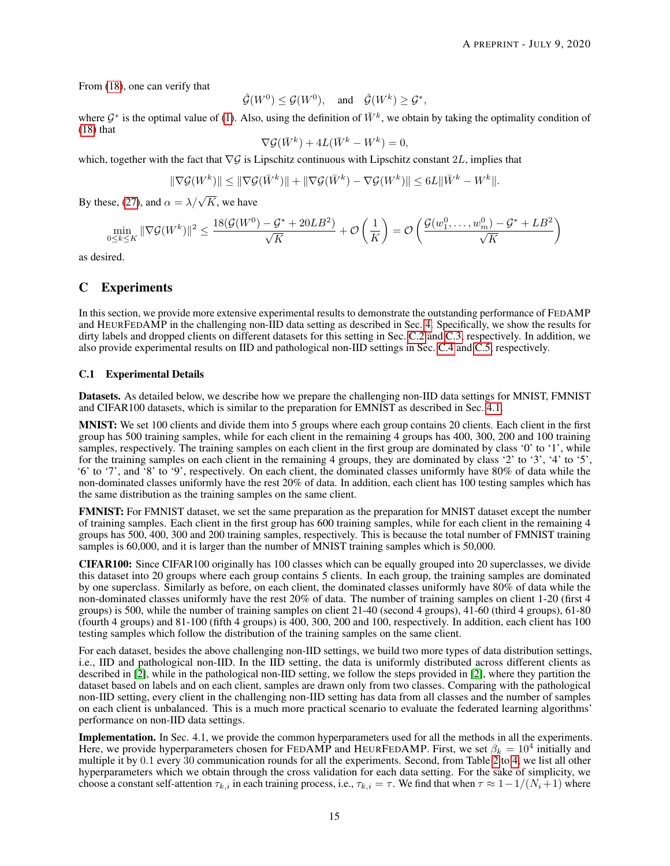From [\(18\)](#page-12-1), one can verify that

$$
\hat{\mathcal{G}}(W^0)\leq \mathcal{G}(W^0), \quad \text{and} \quad \hat{\mathcal{G}}(W^k)\geq \mathcal{G}^*,
$$

where  $\mathcal{G}^*$  is the optimal value of [\(1\)](#page-2-1). Also, using the definition of  $\bar{W}^k$ , we obtain by taking the optimality condition of  $(18)$  that

$$
\nabla \mathcal{G}(\bar{W}^k) + 4L(\bar{W}^k - W^k) = 0,
$$

which, together with the fact that  $\nabla G$  is Lipschitz continuous with Lipschitz constant 2L, implies that

$$
\|\nabla \mathcal{G}(W^k)\| \leq \|\nabla \mathcal{G}(\bar{W}^k)\| + \|\nabla \mathcal{G}(\bar{W}^k) - \nabla \mathcal{G}(W^k)\| \leq 6L\|\bar{W}^k - W^k\|.
$$

By these, [\(27\)](#page-13-3), and  $\alpha = \lambda/\sqrt{K}$ , we have

$$
\min_{0\leq k\leq K}\|\nabla \mathcal{G}(W^k)\|^2\leq \frac{18(\mathcal{G}(W^0)-\mathcal{G}^*+20LB^2)}{\sqrt{K}}+\mathcal{O}\left(\frac{1}{K}\right)=\mathcal{O}\left(\frac{\mathcal{G}(w_1^0,\ldots,w_m^0)-\mathcal{G}^*+LB^2}{\sqrt{K}}\right)
$$

as desired.

# <span id="page-14-0"></span>C Experiments

In this section, we provide more extensive experimental results to demonstrate the outstanding performance of FEDAMP and HEURFEDAMP in the challenging non-IID data setting as described in Sec. [4.](#page-5-2) Specifically, we show the results for dirty labels and dropped clients on different datasets for this setting in Sec. [C.2](#page-15-0) and [C.3,](#page-15-1) respectively. In addition, we also provide experimental results on IID and pathological non-IID settings in Sec. [C.4](#page-15-2) and [C.5,](#page-16-0) respectively.

#### <span id="page-14-1"></span>C.1 Experimental Details

Datasets. As detailed below, we describe how we prepare the challenging non-IID data settings for MNIST, FMNIST and CIFAR100 datasets, which is similar to the preparation for EMNIST as described in Sec. [4.1.](#page-5-7)

MNIST: We set 100 clients and divide them into 5 groups where each group contains 20 clients. Each client in the first group has 500 training samples, while for each client in the remaining 4 groups has 400, 300, 200 and 100 training samples, respectively. The training samples on each client in the first group are dominated by class '0' to '1', while for the training samples on each client in the remaining 4 groups, they are dominated by class '2' to '3', '4' to '5', '6' to '7', and '8' to '9', respectively. On each client, the dominated classes uniformly have 80% of data while the non-dominated classes uniformly have the rest 20% of data. In addition, each client has 100 testing samples which has the same distribution as the training samples on the same client.

FMNIST: For FMNIST dataset, we set the same preparation as the preparation for MNIST dataset except the number of training samples. Each client in the first group has 600 training samples, while for each client in the remaining 4 groups has 500, 400, 300 and 200 training samples, respectively. This is because the total number of FMNIST training samples is 60,000, and it is larger than the number of MNIST training samples which is 50,000.

CIFAR100: Since CIFAR100 originally has 100 classes which can be equally grouped into 20 superclasses, we divide this dataset into 20 groups where each group contains 5 clients. In each group, the training samples are dominated by one superclass. Similarly as before, on each client, the dominated classes uniformly have 80% of data while the non-dominated classes uniformly have the rest 20% of data. The number of training samples on client 1-20 (first 4 groups) is 500, while the number of training samples on client 21-40 (second 4 groups), 41-60 (third 4 groups), 61-80 (fourth 4 groups) and 81-100 (fifth 4 groups) is 400, 300, 200 and 100, respectively. In addition, each client has 100 testing samples which follow the distribution of the training samples on the same client.

For each dataset, besides the above challenging non-IID settings, we build two more types of data distribution settings, i.e., IID and pathological non-IID. In the IID setting, the data is uniformly distributed across different clients as described in [\[2\]](#page-7-1), while in the pathological non-IID setting, we follow the steps provided in [\[2\]](#page-7-1), where they partition the dataset based on labels and on each client, samples are drawn only from two classes. Comparing with the pathological non-IID setting, every client in the challenging non-IID setting has data from all classes and the number of samples on each client is unbalanced. This is a much more practical scenario to evaluate the federated learning algorithms' performance on non-IID data settings.

Implementation. In Sec. 4.1, we provide the common hyperparameters used for all the methods in all the experiments. Here, we provide hyperparameters chosen for FEDAMP and HEURFEDAMP. First, we set  $\beta_k = 10^4$  initially and multiple it by 0.1 every 30 communication rounds for all the experiments. Second, from Table [2](#page-15-3) to [4,](#page-15-4) we list all other hyperparameters which we obtain through the cross validation for each data setting. For the sake of simplicity, we choose a constant self-attention  $\tau_{k,i}$  in each training process, i.e.,  $\tau_{k,i} = \tau$ . We find that when  $\tau \approx 1-1/(N_i+1)$  where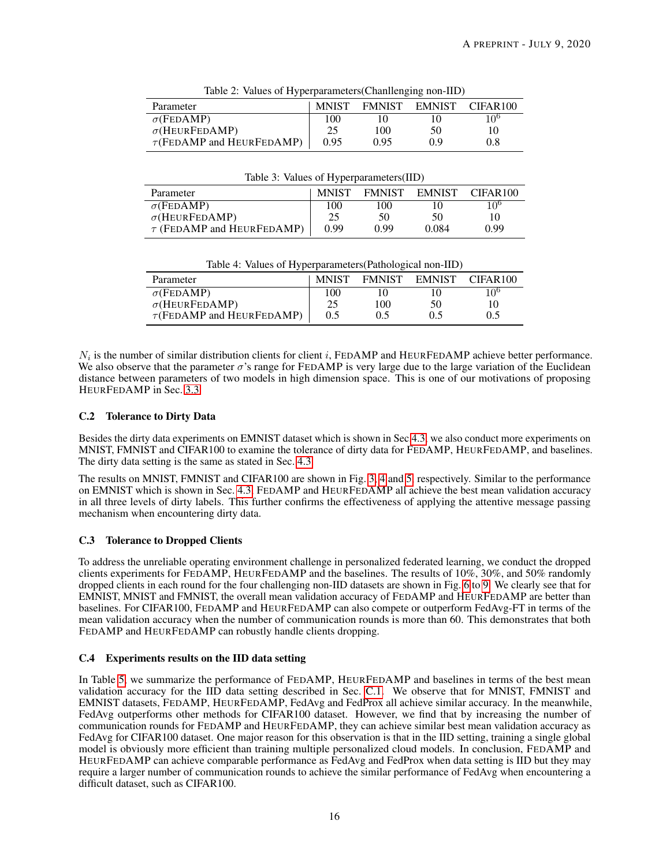<span id="page-15-3"></span>

| Table 2. Values of 11yperparameters channeliging non-trip) |              |      |               |                      |  |  |
|------------------------------------------------------------|--------------|------|---------------|----------------------|--|--|
| Parameter                                                  | <b>MNIST</b> |      | FMNIST EMNIST | CIFAR <sub>100</sub> |  |  |
| $\sigma$ (FEDAMP)                                          | 100          |      |               | 10 <sup>6</sup>      |  |  |
| $\sigma$ (HEURFEDAMP)                                      | 25           | 100  | 50            | Ю                    |  |  |
| $\tau$ (FEDAMP and HEURFEDAMP)                             | 0.95         | 0.95 | 09            | 0.8                  |  |  |

Table 2: Values of Hyperparameters(Chanllenging non-IID)

|  |  | Table 3: Values of Hyperparameters(IID) |  |
|--|--|-----------------------------------------|--|
|--|--|-----------------------------------------|--|

| Parameter                      | <b>MNIST</b> | <b>FMNIST</b> | <b>EMNIST</b> | CIFAR <sub>100</sub> |
|--------------------------------|--------------|---------------|---------------|----------------------|
| $\sigma$ (FEDAMP)              | 100          | 100           | 10            | 10 <sup>6</sup>      |
| $\sigma$ (HEURFEDAMP)          | 25           | 50            | 50            | 10                   |
| $\tau$ (FEDAMP and HEURFEDAMP) | 0.99         | 0.99          | 0.084         | 0.99                 |

Table 4: Values of Hyperparameters(Pathological non-IID)

<span id="page-15-4"></span>

| Parameter                      | <b>MNIST</b> | <b>FMNIST</b> | EMNIST | CIFAR <sub>100</sub> |
|--------------------------------|--------------|---------------|--------|----------------------|
| $\sigma$ (FEDAMP)              | 100          |               |        | 106                  |
| $\sigma$ (HEURFEDAMP)          | 25           | 100           | 50     |                      |
| $\tau$ (FEDAMP and HEURFEDAMP) | 0.5          | 0.5           | 0.5    | 0.5                  |

 $N_i$  is the number of similar distribution clients for client i, FEDAMP and HEURFEDAMP achieve better performance. We also observe that the parameter  $\sigma$ 's range for FEDAMP is very large due to the large variation of the Euclidean distance between parameters of two models in high dimension space. This is one of our motivations of proposing HEURFEDAMP in Sec. [3.3.](#page-5-0)

# <span id="page-15-0"></span>C.2 Tolerance to Dirty Data

Besides the dirty data experiments on EMNIST dataset which is shown in Sec[.4.3,](#page-6-1) we also conduct more experiments on MNIST, FMNIST and CIFAR100 to examine the tolerance of dirty data for FEDAMP, HEURFEDAMP, and baselines. The dirty data setting is the same as stated in Sec. [4.3.](#page-6-1)

The results on MNIST, FMNIST and CIFAR100 are shown in Fig. [3,](#page-16-1) [4](#page-16-2) and [5,](#page-16-3) respectively. Similar to the performance on EMNIST which is shown in Sec. [4.3,](#page-6-1) FEDAMP and HEURFEDAMP all achieve the best mean validation accuracy in all three levels of dirty labels. This further confirms the effectiveness of applying the attentive message passing mechanism when encountering dirty data.

# <span id="page-15-1"></span>C.3 Tolerance to Dropped Clients

To address the unreliable operating environment challenge in personalized federated learning, we conduct the dropped clients experiments for FEDAMP, HEURFEDAMP and the baselines. The results of 10%, 30%, and 50% randomly dropped clients in each round for the four challenging non-IID datasets are shown in Fig. [6](#page-17-0) to [9.](#page-17-1) We clearly see that for EMNIST, MNIST and FMNIST, the overall mean validation accuracy of FEDAMP and HEURFEDAMP are better than baselines. For CIFAR100, FEDAMP and HEURFEDAMP can also compete or outperform FedAvg-FT in terms of the mean validation accuracy when the number of communication rounds is more than 60. This demonstrates that both FEDAMP and HEURFEDAMP can robustly handle clients dropping.

# <span id="page-15-2"></span>C.4 Experiments results on the IID data setting

In Table [5,](#page-16-4) we summarize the performance of FEDAMP, HEURFEDAMP and baselines in terms of the best mean validation accuracy for the IID data setting described in Sec. [C.1.](#page-14-1) We observe that for MNIST, FMNIST and EMNIST datasets, FEDAMP, HEURFEDAMP, FedAvg and FedProx all achieve similar accuracy. In the meanwhile, FedAvg outperforms other methods for CIFAR100 dataset. However, we find that by increasing the number of communication rounds for FEDAMP and HEURFEDAMP, they can achieve similar best mean validation accuracy as FedAvg for CIFAR100 dataset. One major reason for this observation is that in the IID setting, training a single global model is obviously more efficient than training multiple personalized cloud models. In conclusion, FEDAMP and HEURFEDAMP can achieve comparable performance as FedAvg and FedProx when data setting is IID but they may require a larger number of communication rounds to achieve the similar performance of FedAvg when encountering a difficult dataset, such as CIFAR100.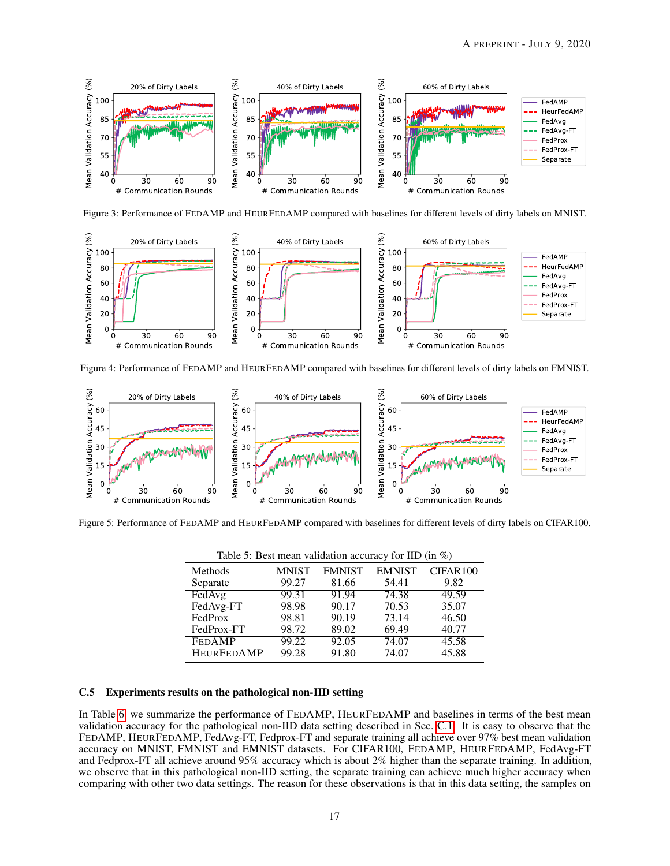<span id="page-16-1"></span>

Figure 3: Performance of FEDAMP and HEURFEDAMP compared with baselines for different levels of dirty labels on MNIST.

<span id="page-16-2"></span>

Figure 4: Performance of FEDAMP and HEURFEDAMP compared with baselines for different levels of dirty labels on FMNIST.

<span id="page-16-3"></span>

<span id="page-16-4"></span>Figure 5: Performance of FEDAMP and HEURFEDAMP compared with baselines for different levels of dirty labels on CIFAR100.

| rable 5. Dest mean vanuation accuracy for HD (in $\pi$ ) |              |               |               |          |  |  |  |
|----------------------------------------------------------|--------------|---------------|---------------|----------|--|--|--|
| Methods                                                  | <b>MNIST</b> | <b>FMNIST</b> | <b>EMNIST</b> | CIFAR100 |  |  |  |
| Separate                                                 | 99.27        | 81.66         | 54.41         | 9.82     |  |  |  |
| FedAvg                                                   | 99.31        | 91.94         | 74.38         | 49.59    |  |  |  |
| FedAvg-FT                                                | 98.98        | 90.17         | 70.53         | 35.07    |  |  |  |
| FedProx                                                  | 98.81        | 90.19         | 73.14         | 46.50    |  |  |  |
| FedProx-FT                                               | 98.72        | 89.02         | 69.49         | 40.77    |  |  |  |
| <b>FEDAMP</b>                                            | 99.22        | 92.05         | 74.07         | 45.58    |  |  |  |
| <b>HEURFEDAMP</b>                                        | 99.28        | 91.80         | 74.07         | 45.88    |  |  |  |

Table 5: Best mean validation accuracy for IID (in  $\%$ )

#### <span id="page-16-0"></span>C.5 Experiments results on the pathological non-IID setting

In Table [6,](#page-18-0) we summarize the performance of FEDAMP, HEURFEDAMP and baselines in terms of the best mean validation accuracy for the pathological non-IID data setting described in Sec. [C.1.](#page-14-1) It is easy to observe that the FEDAMP, HEURFEDAMP, FedAvg-FT, Fedprox-FT and separate training all achieve over 97% best mean validation accuracy on MNIST, FMNIST and EMNIST datasets. For CIFAR100, FEDAMP, HEURFEDAMP, FedAvg-FT and Fedprox-FT all achieve around 95% accuracy which is about 2% higher than the separate training. In addition, we observe that in this pathological non-IID setting, the separate training can achieve much higher accuracy when comparing with other two data settings. The reason for these observations is that in this data setting, the samples on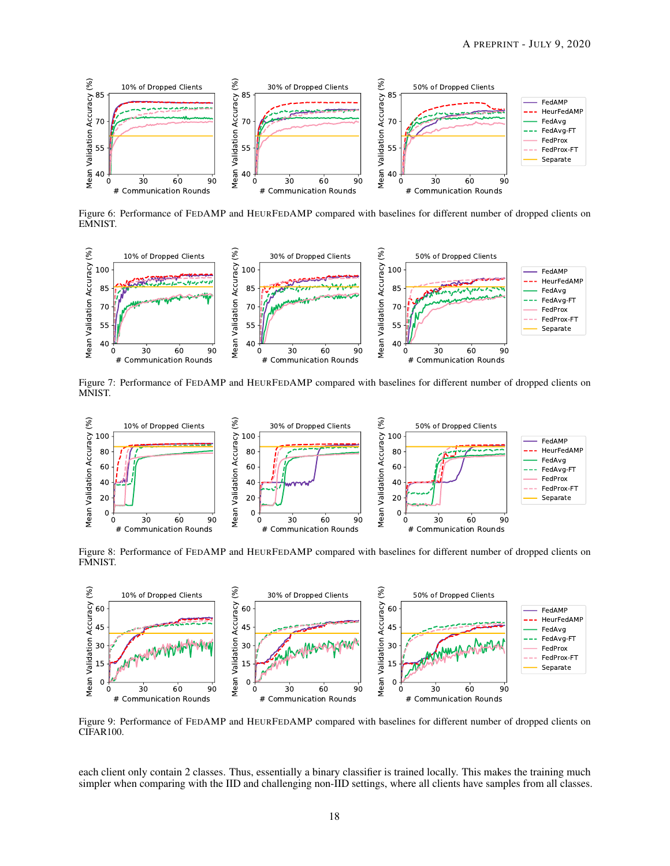<span id="page-17-0"></span>

Figure 6: Performance of FEDAMP and HEURFEDAMP compared with baselines for different number of dropped clients on EMNIST.



Figure 7: Performance of FEDAMP and HEURFEDAMP compared with baselines for different number of dropped clients on MNIST.



Figure 8: Performance of FEDAMP and HEURFEDAMP compared with baselines for different number of dropped clients on FMNIST.

<span id="page-17-1"></span>

Figure 9: Performance of FEDAMP and HEURFEDAMP compared with baselines for different number of dropped clients on CIFAR100.

each client only contain 2 classes. Thus, essentially a binary classifier is trained locally. This makes the training much simpler when comparing with the IID and challenging non-IID settings, where all clients have samples from all classes.